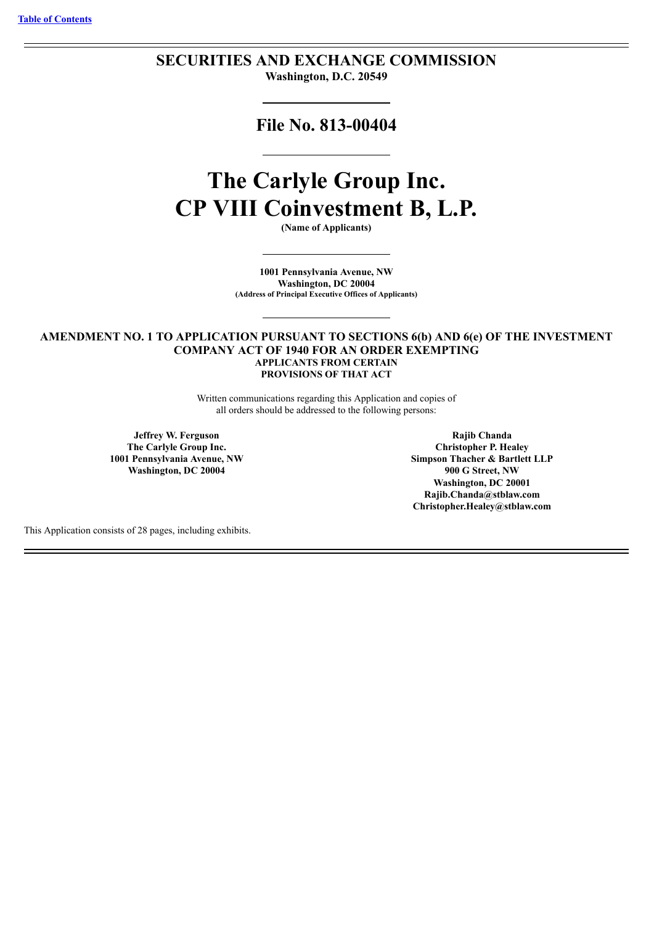## **SECURITIES AND EXCHANGE COMMISSION Washington, D.C. 20549**

**File No. 813-00404**

# **The Carlyle Group Inc. CP VIII Coinvestment B, L.P.**

**(Name of Applicants)**

**1001 Pennsylvania Avenue, NW Washington, DC 20004 (Address of Principal Executive Offices of Applicants)**

## **AMENDMENT NO. 1 TO APPLICATION PURSUANT TO SECTIONS 6(b) AND 6(e) OF THE INVESTMENT COMPANY ACT OF 1940 FOR AN ORDER EXEMPTING APPLICANTS FROM CERTAIN PROVISIONS OF THAT ACT**

Written communications regarding this Application and copies of all orders should be addressed to the following persons:

**Jeffrey W. Ferguson The Carlyle Group Inc. 1001 Pennsylvania Avenue, NW Washington, DC 20004**

**Rajib Chanda Christopher P. Healey Simpson Thacher & Bartlett LLP 900 G Street, NW Washington, DC 20001 Rajib.Chanda@stblaw.com Christopher.Healey@stblaw.com**

This Application consists of 28 pages, including exhibits.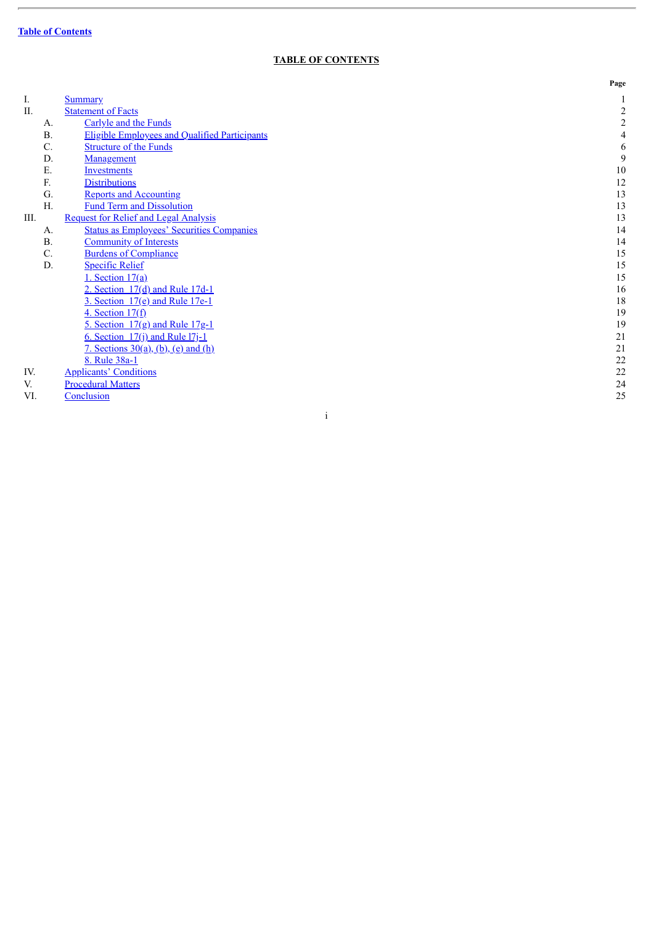$\overline{a}$ 

## **TABLE OF CONTENTS**

<span id="page-1-0"></span>

|      |           |                                                      | Page           |
|------|-----------|------------------------------------------------------|----------------|
| I.   |           | <b>Summary</b>                                       |                |
| Π.   |           | <b>Statement of Facts</b>                            | $\overline{2}$ |
|      | A.        | Carlyle and the Funds                                | $\overline{2}$ |
|      | <b>B.</b> | <b>Eligible Employees and Qualified Participants</b> | 4              |
|      | C.        | <b>Structure of the Funds</b>                        | 6              |
|      | D.        | Management                                           | 9              |
|      | Ε.        | <b>Investments</b>                                   | $10\,$         |
|      | F.        | <b>Distributions</b>                                 | 12             |
|      | G.        | <b>Reports and Accounting</b>                        | 13             |
|      | H.        | <b>Fund Term and Dissolution</b>                     | 13             |
| III. |           | <b>Request for Relief and Legal Analysis</b>         | 13             |
|      | A.        | <b>Status as Employees' Securities Companies</b>     | 14             |
|      | <b>B.</b> | <b>Community of Interests</b>                        | 14             |
|      | C.        | <b>Burdens of Compliance</b>                         | 15             |
|      | D.        | <b>Specific Relief</b>                               | 15             |
|      |           | 1. Section $17(a)$                                   | 15             |
|      |           | 2. Section $17(d)$ and Rule 17d-1                    | 16             |
|      |           | 3. Section $17(e)$ and Rule 17e-1                    | 18             |
|      |           | 4. Section $17(f)$                                   | 19             |
|      |           | 5. Section $17(g)$ and Rule $17g-1$                  | 19             |
|      |           | 6. Section 17(j) and Rule 17j-1                      | 21             |
|      |           | 7. Sections $30(a)$ , $(b)$ , $(e)$ and $(h)$        | 21             |
|      |           | 8. Rule 38a-1                                        | 22             |
| IV.  |           | <b>Applicants' Conditions</b>                        | 22             |
| V.   |           | <b>Procedural Matters</b>                            | 24             |
| VI.  |           | Conclusion                                           | 25             |
|      |           |                                                      |                |
|      |           | 1                                                    |                |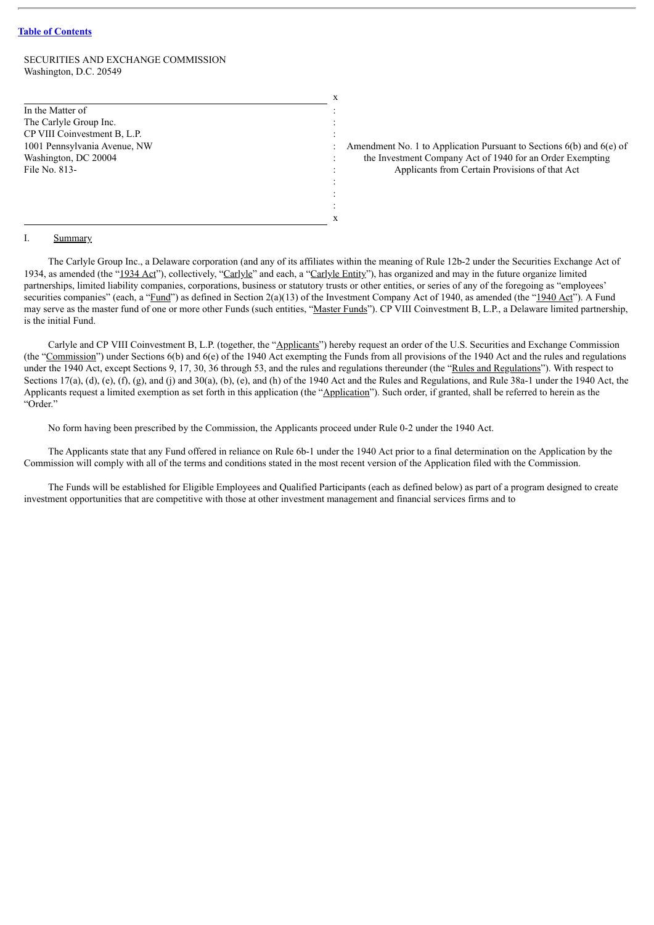## SECURITIES AND EXCHANGE COMMISSION Washington, D.C. 20549

In the Matter of The Carlyle Group Inc. CP VIII Coinvestment B, L.P. 1001 Pennsylvania Avenue, NW Washington, DC 20004 File No. 813-

Amendment No. 1 to Application Pursuant to Sections 6(b) and 6(e) of the Investment Company Act of 1940 for an Order Exempting Applicants from Certain Provisions of that Act

#### <span id="page-2-0"></span>I. Summary

The Carlyle Group Inc., a Delaware corporation (and any of its affiliates within the meaning of Rule 12b-2 under the Securities Exchange Act of 1934, as amended (the "1934 Act"), collectively, "Carlyle" and each, a "Carlyle Entity"), has organized and may in the future organize limited partnerships, limited liability companies, corporations, business or statutory trusts or other entities, or series of any of the foregoing as "employees' securities companies" (each, a "Fund") as defined in Section 2(a)(13) of the Investment Company Act of 1940, as amended (the "1940 Act"). A Fund may serve as the master fund of one or more other Funds (such entities, "Master Funds"). CP VIII Coinvestment B, L.P., a Delaware limited partnership, is the initial Fund.

x

: : : : : : : : :

x

Carlyle and CP VIII Coinvestment B, L.P. (together, the "Applicants") hereby request an order of the U.S. Securities and Exchange Commission (the "Commission") under Sections  $6(b)$  and  $6(e)$  of the 1940 Act exempting the Funds from all provisions of the 1940 Act and the rules and regulations under the 1940 Act, except Sections 9, 17, 30, 36 through 53, and the rules and regulations thereunder (the "Rules and Regulations"). With respect to Sections  $17(a)$ ,  $(d)$ ,  $(e)$ ,  $(\hat{f})$ ,  $(g)$ , and  $(j)$  and  $30(a)$ ,  $(b)$ ,  $(e)$ , and  $(h)$  of the 1940 Act and the Rules and Regulations, and Rule 38a-1 under the 1940 Act, the Applicants request a limited exemption as set forth in this application (the "Application"). Such order, if granted, shall be referred to herein as the "Order."

No form having been prescribed by the Commission, the Applicants proceed under Rule 0-2 under the 1940 Act.

The Applicants state that any Fund offered in reliance on Rule 6b-1 under the 1940 Act prior to a final determination on the Application by the Commission will comply with all of the terms and conditions stated in the most recent version of the Application filed with the Commission.

The Funds will be established for Eligible Employees and Qualified Participants (each as defined below) as part of a program designed to create investment opportunities that are competitive with those at other investment management and financial services firms and to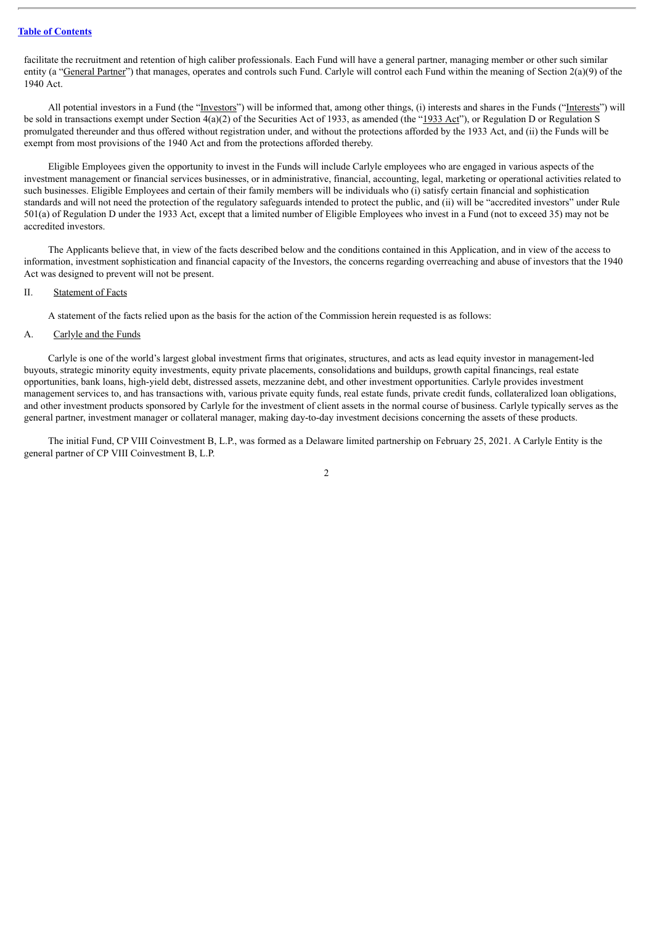facilitate the recruitment and retention of high caliber professionals. Each Fund will have a general partner, managing member or other such similar entity (a "General Partner") that manages, operates and controls such Fund. Carlyle will control each Fund within the meaning of Section 2(a)(9) of the 1940 Act.

All potential investors in a Fund (the "Investors") will be informed that, among other things, (i) interests and shares in the Funds ("Interests") will be sold in transactions exempt under Section 4(a)(2) of the Securities Act of 1933, as amended (the "1933 Act"), or Regulation D or Regulation S promulgated thereunder and thus offered without registration under, and without the protections afforded by the 1933 Act, and (ii) the Funds will be exempt from most provisions of the 1940 Act and from the protections afforded thereby.

Eligible Employees given the opportunity to invest in the Funds will include Carlyle employees who are engaged in various aspects of the investment management or financial services businesses, or in administrative, financial, accounting, legal, marketing or operational activities related to such businesses. Eligible Employees and certain of their family members will be individuals who (i) satisfy certain financial and sophistication standards and will not need the protection of the regulatory safeguards intended to protect the public, and (ii) will be "accredited investors" under Rule 501(a) of Regulation D under the 1933 Act, except that a limited number of Eligible Employees who invest in a Fund (not to exceed 35) may not be accredited investors.

The Applicants believe that, in view of the facts described below and the conditions contained in this Application, and in view of the access to information, investment sophistication and financial capacity of the Investors, the concerns regarding overreaching and abuse of investors that the 1940 Act was designed to prevent will not be present.

#### <span id="page-3-0"></span>II. Statement of Facts

A statement of the facts relied upon as the basis for the action of the Commission herein requested is as follows:

#### <span id="page-3-1"></span>A. Carlyle and the Funds

Carlyle is one of the world's largest global investment firms that originates, structures, and acts as lead equity investor in management-led buyouts, strategic minority equity investments, equity private placements, consolidations and buildups, growth capital financings, real estate opportunities, bank loans, high-yield debt, distressed assets, mezzanine debt, and other investment opportunities. Carlyle provides investment management services to, and has transactions with, various private equity funds, real estate funds, private credit funds, collateralized loan obligations, and other investment products sponsored by Carlyle for the investment of client assets in the normal course of business. Carlyle typically serves as the general partner, investment manager or collateral manager, making day-to-day investment decisions concerning the assets of these products.

The initial Fund, CP VIII Coinvestment B, L.P., was formed as a Delaware limited partnership on February 25, 2021. A Carlyle Entity is the general partner of CP VIII Coinvestment B, L.P.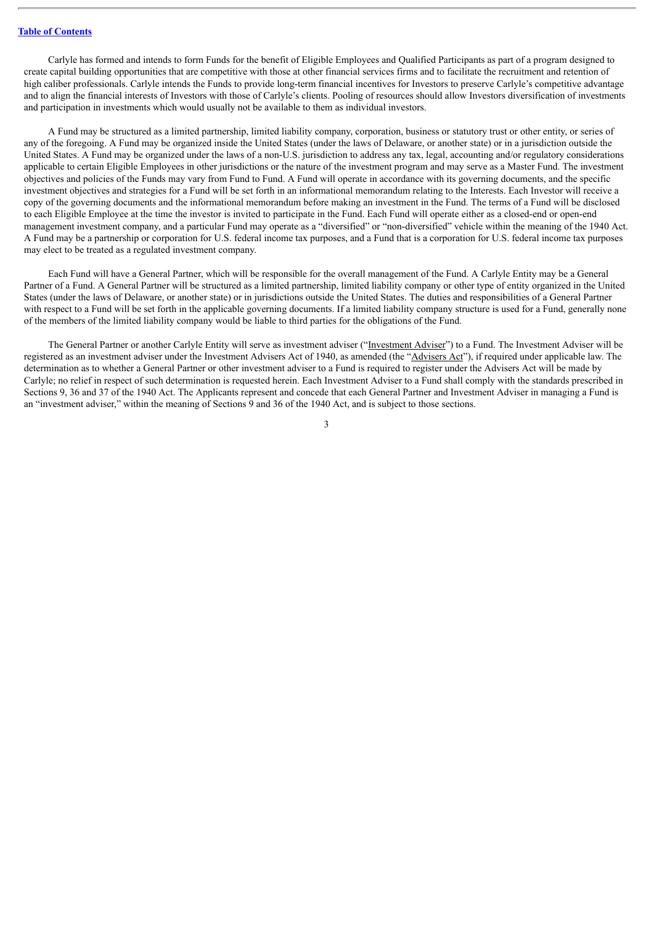Carlyle has formed and intends to form Funds for the benefit of Eligible Employees and Qualified Participants as part of a program designed to create capital building opportunities that are competitive with those at other financial services firms and to facilitate the recruitment and retention of high caliber professionals. Carlyle intends the Funds to provide long-term financial incentives for Investors to preserve Carlyle's competitive advantage and to align the financial interests of Investors with those of Carlyle's clients. Pooling of resources should allow Investors diversification of investments and participation in investments which would usually not be available to them as individual investors.

A Fund may be structured as a limited partnership, limited liability company, corporation, business or statutory trust or other entity, or series of any of the foregoing. A Fund may be organized inside the United States (under the laws of Delaware, or another state) or in a jurisdiction outside the United States. A Fund may be organized under the laws of a non-U.S. jurisdiction to address any tax, legal, accounting and/or regulatory considerations applicable to certain Eligible Employees in other jurisdictions or the nature of the investment program and may serve as a Master Fund. The investment objectives and policies of the Funds may vary from Fund to Fund. A Fund will operate in accordance with its governing documents, and the specific investment objectives and strategies for a Fund will be set forth in an informational memorandum relating to the Interests. Each Investor will receive a copy of the governing documents and the informational memorandum before making an investment in the Fund. The terms of a Fund will be disclosed to each Eligible Employee at the time the investor is invited to participate in the Fund. Each Fund will operate either as a closed-end or open-end management investment company, and a particular Fund may operate as a "diversified" or "non-diversified" vehicle within the meaning of the 1940 Act. A Fund may be a partnership or corporation for U.S. federal income tax purposes, and a Fund that is a corporation for U.S. federal income tax purposes may elect to be treated as a regulated investment company.

Each Fund will have a General Partner, which will be responsible for the overall management of the Fund. A Carlyle Entity may be a General Partner of a Fund. A General Partner will be structured as a limited partnership, limited liability company or other type of entity organized in the United States (under the laws of Delaware, or another state) or in jurisdictions outside the United States. The duties and responsibilities of a General Partner with respect to a Fund will be set forth in the applicable governing documents. If a limited liability company structure is used for a Fund, generally none of the members of the limited liability company would be liable to third parties for the obligations of the Fund.

The General Partner or another Carlyle Entity will serve as investment adviser ("Investment Adviser") to a Fund. The Investment Adviser will be registered as an investment adviser under the Investment Advisers Act of 1940, as amended (the "Advisers Act"), if required under applicable law. The determination as to whether a General Partner or other investment adviser to a Fund is required to register under the Advisers Act will be made by Carlyle; no relief in respect of such determination is requested herein. Each Investment Adviser to a Fund shall comply with the standards prescribed in Sections 9, 36 and 37 of the 1940 Act. The Applicants represent and concede that each General Partner and Investment Adviser in managing a Fund is an "investment adviser," within the meaning of Sections 9 and 36 of the 1940 Act, and is subject to those sections.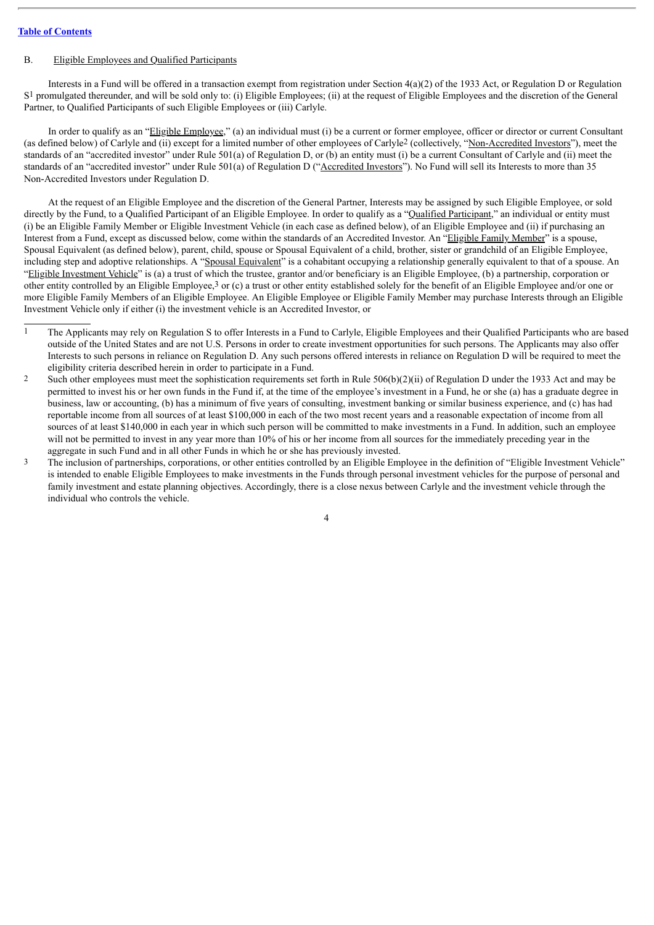## <span id="page-5-0"></span>B. Eligible Employees and Qualified Participants

Interests in a Fund will be offered in a transaction exempt from registration under Section 4(a)(2) of the 1933 Act, or Regulation D or Regulation S<sup>1</sup> promulgated thereunder, and will be sold only to: (i) Eligible Employees; (ii) at the request of Eligible Employees and the discretion of the General Partner, to Qualified Participants of such Eligible Employees or (iii) Carlyle.

In order to qualify as an "Eligible Employee," (a) an individual must (i) be a current or former employee, officer or director or current Consultant (as defined below) of Carlyle and (ii) except for a limited number of other employees of Carlyle2 (collectively, "Non-Accredited Investors"), meet the standards of an "accredited investor" under Rule 501(a) of Regulation D, or (b) an entity must (i) be a current Consultant of Carlyle and (ii) meet the standards of an "accredited investor" under Rule 501(a) of Regulation D ("Accredited Investors"). No Fund will sell its Interests to more than 35 Non-Accredited Investors under Regulation D.

At the request of an Eligible Employee and the discretion of the General Partner, Interests may be assigned by such Eligible Employee, or sold directly by the Fund, to a Qualified Participant of an Eligible Employee. In order to qualify as a "Qualified Participant," an individual or entity must (i) be an Eligible Family Member or Eligible Investment Vehicle (in each case as defined below), of an Eligible Employee and (ii) if purchasing an Interest from a Fund, except as discussed below, come within the standards of an Accredited Investor. An "Eligible Family Member" is a spouse, Spousal Equivalent (as defined below), parent, child, spouse or Spousal Equivalent of a child, brother, sister or grandchild of an Eligible Employee, including step and adoptive relationships. A "Spousal Equivalent" is a cohabitant occupying a relationship generally equivalent to that of a spouse. An "Eligible Investment Vehicle" is (a) a trust of which the trustee, grantor and/or beneficiary is an Eligible Employee, (b) a partnership, corporation or other entity controlled by an Eligible Employee,3 or (c) a trust or other entity established solely for the benefit of an Eligible Employee and/or one or more Eligible Family Members of an Eligible Employee. An Eligible Employee or Eligible Family Member may purchase Interests through an Eligible Investment Vehicle only if either (i) the investment vehicle is an Accredited Investor, or

- 1 The Applicants may rely on Regulation S to offer Interests in a Fund to Carlyle, Eligible Employees and their Qualified Participants who are based outside of the United States and are not U.S. Persons in order to create investment opportunities for such persons. The Applicants may also offer Interests to such persons in reliance on Regulation D. Any such persons offered interests in reliance on Regulation D will be required to meet the eligibility criteria described herein in order to participate in a Fund.
- 2 Such other employees must meet the sophistication requirements set forth in Rule 506(b)(2)(ii) of Regulation D under the 1933 Act and may be permitted to invest his or her own funds in the Fund if, at the time of the employee's investment in a Fund, he or she (a) has a graduate degree in business, law or accounting, (b) has a minimum of five years of consulting, investment banking or similar business experience, and (c) has had reportable income from all sources of at least \$100,000 in each of the two most recent years and a reasonable expectation of income from all sources of at least \$140,000 in each year in which such person will be committed to make investments in a Fund. In addition, such an employee will not be permitted to invest in any year more than 10% of his or her income from all sources for the immediately preceding year in the aggregate in such Fund and in all other Funds in which he or she has previously invested.
- 3 The inclusion of partnerships, corporations, or other entities controlled by an Eligible Employee in the definition of "Eligible Investment Vehicle" is intended to enable Eligible Employees to make investments in the Funds through personal investment vehicles for the purpose of personal and family investment and estate planning objectives. Accordingly, there is a close nexus between Carlyle and the investment vehicle through the individual who controls the vehicle.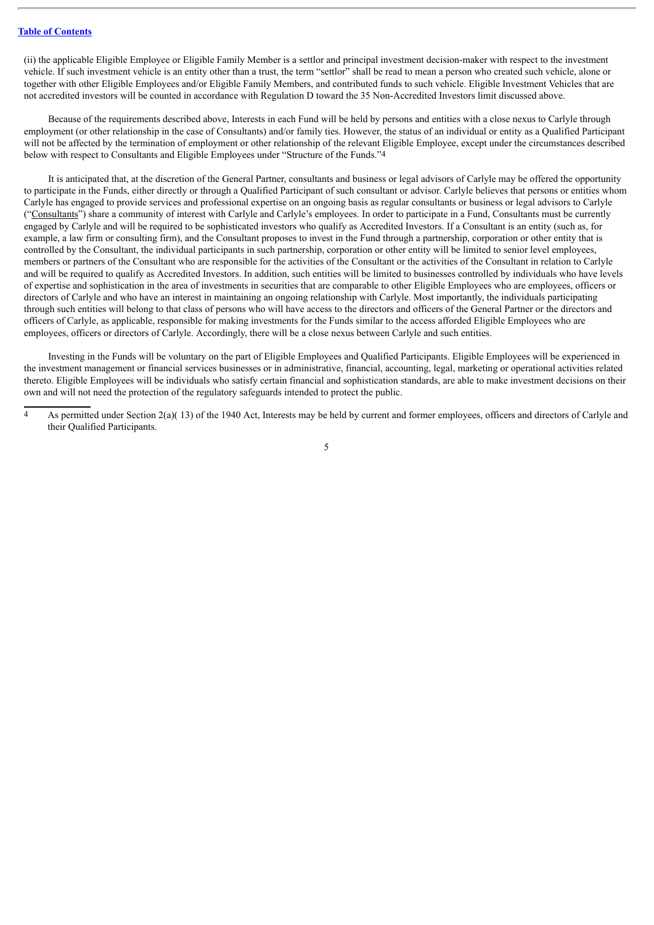(ii) the applicable Eligible Employee or Eligible Family Member is a settlor and principal investment decision-maker with respect to the investment vehicle. If such investment vehicle is an entity other than a trust, the term "settlor" shall be read to mean a person who created such vehicle, alone or together with other Eligible Employees and/or Eligible Family Members, and contributed funds to such vehicle. Eligible Investment Vehicles that are not accredited investors will be counted in accordance with Regulation D toward the 35 Non-Accredited Investors limit discussed above.

Because of the requirements described above, Interests in each Fund will be held by persons and entities with a close nexus to Carlyle through employment (or other relationship in the case of Consultants) and/or family ties. However, the status of an individual or entity as a Qualified Participant will not be affected by the termination of employment or other relationship of the relevant Eligible Employee, except under the circumstances described below with respect to Consultants and Eligible Employees under "Structure of the Funds."4

It is anticipated that, at the discretion of the General Partner, consultants and business or legal advisors of Carlyle may be offered the opportunity to participate in the Funds, either directly or through a Qualified Participant of such consultant or advisor. Carlyle believes that persons or entities whom Carlyle has engaged to provide services and professional expertise on an ongoing basis as regular consultants or business or legal advisors to Carlyle ("Consultants") share a community of interest with Carlyle and Carlyle's employees. In order to participate in a Fund, Consultants must be currently engaged by Carlyle and will be required to be sophisticated investors who qualify as Accredited Investors. If a Consultant is an entity (such as, for example, a law firm or consulting firm), and the Consultant proposes to invest in the Fund through a partnership, corporation or other entity that is controlled by the Consultant, the individual participants in such partnership, corporation or other entity will be limited to senior level employees, members or partners of the Consultant who are responsible for the activities of the Consultant or the activities of the Consultant in relation to Carlyle and will be required to qualify as Accredited Investors. In addition, such entities will be limited to businesses controlled by individuals who have levels of expertise and sophistication in the area of investments in securities that are comparable to other Eligible Employees who are employees, officers or directors of Carlyle and who have an interest in maintaining an ongoing relationship with Carlyle. Most importantly, the individuals participating through such entities will belong to that class of persons who will have access to the directors and officers of the General Partner or the directors and officers of Carlyle, as applicable, responsible for making investments for the Funds similar to the access afforded Eligible Employees who are employees, officers or directors of Carlyle. Accordingly, there will be a close nexus between Carlyle and such entities.

Investing in the Funds will be voluntary on the part of Eligible Employees and Qualified Participants. Eligible Employees will be experienced in the investment management or financial services businesses or in administrative, financial, accounting, legal, marketing or operational activities related thereto. Eligible Employees will be individuals who satisfy certain financial and sophistication standards, are able to make investment decisions on their own and will not need the protection of the regulatory safeguards intended to protect the public.

<sup>4</sup> As permitted under Section 2(a)( 13) of the 1940 Act, Interests may be held by current and former employees, officers and directors of Carlyle and their Qualified Participants.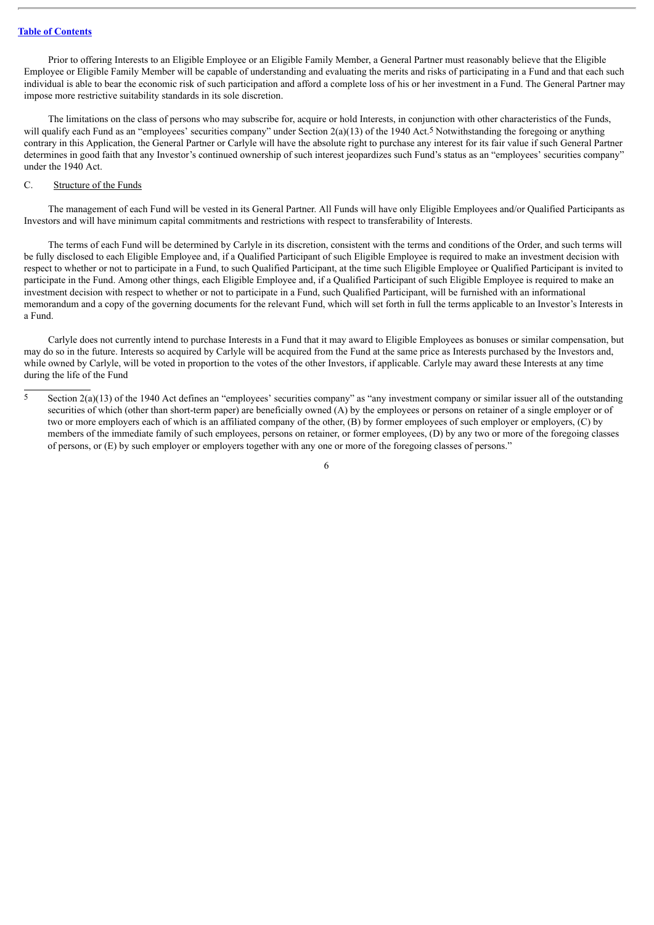Prior to offering Interests to an Eligible Employee or an Eligible Family Member, a General Partner must reasonably believe that the Eligible Employee or Eligible Family Member will be capable of understanding and evaluating the merits and risks of participating in a Fund and that each such individual is able to bear the economic risk of such participation and afford a complete loss of his or her investment in a Fund. The General Partner may impose more restrictive suitability standards in its sole discretion.

The limitations on the class of persons who may subscribe for, acquire or hold Interests, in conjunction with other characteristics of the Funds, will qualify each Fund as an "employees' securities company" under Section 2(a)(13) of the 1940 Act.<sup>5</sup> Notwithstanding the foregoing or anything contrary in this Application, the General Partner or Carlyle will have the absolute right to purchase any interest for its fair value if such General Partner determines in good faith that any Investor's continued ownership of such interest jeopardizes such Fund's status as an "employees' securities company" under the 1940 Act.

## <span id="page-7-0"></span>C. Structure of the Funds

The management of each Fund will be vested in its General Partner. All Funds will have only Eligible Employees and/or Qualified Participants as Investors and will have minimum capital commitments and restrictions with respect to transferability of Interests.

The terms of each Fund will be determined by Carlyle in its discretion, consistent with the terms and conditions of the Order, and such terms will be fully disclosed to each Eligible Employee and, if a Qualified Participant of such Eligible Employee is required to make an investment decision with respect to whether or not to participate in a Fund, to such Qualified Participant, at the time such Eligible Employee or Qualified Participant is invited to participate in the Fund. Among other things, each Eligible Employee and, if a Qualified Participant of such Eligible Employee is required to make an investment decision with respect to whether or not to participate in a Fund, such Qualified Participant, will be furnished with an informational memorandum and a copy of the governing documents for the relevant Fund, which will set forth in full the terms applicable to an Investor's Interests in a Fund.

Carlyle does not currently intend to purchase Interests in a Fund that it may award to Eligible Employees as bonuses or similar compensation, but may do so in the future. Interests so acquired by Carlyle will be acquired from the Fund at the same price as Interests purchased by the Investors and, while owned by Carlyle, will be voted in proportion to the votes of the other Investors, if applicable. Carlyle may award these Interests at any time during the life of the Fund

<sup>5</sup> Section 2(a)(13) of the 1940 Act defines an "employees' securities company" as "any investment company or similar issuer all of the outstanding securities of which (other than short-term paper) are beneficially owned (A) by the employees or persons on retainer of a single employer or of two or more employers each of which is an affiliated company of the other, (B) by former employees of such employer or employers, (C) by members of the immediate family of such employees, persons on retainer, or former employees, (D) by any two or more of the foregoing classes of persons, or (E) by such employer or employers together with any one or more of the foregoing classes of persons."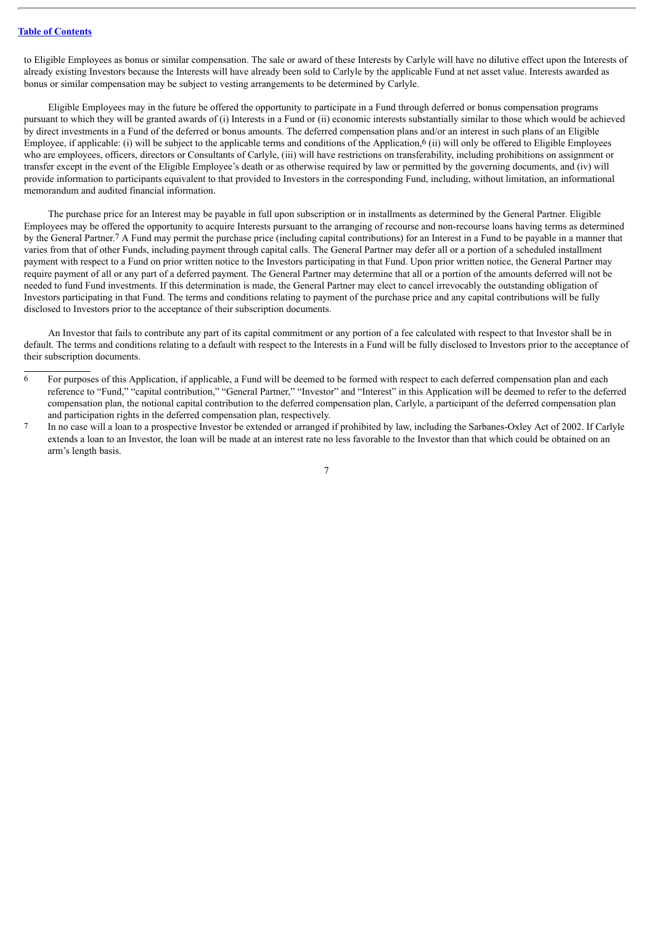to Eligible Employees as bonus or similar compensation. The sale or award of these Interests by Carlyle will have no dilutive effect upon the Interests of already existing Investors because the Interests will have already been sold to Carlyle by the applicable Fund at net asset value. Interests awarded as bonus or similar compensation may be subject to vesting arrangements to be determined by Carlyle.

Eligible Employees may in the future be offered the opportunity to participate in a Fund through deferred or bonus compensation programs pursuant to which they will be granted awards of (i) Interests in a Fund or (ii) economic interests substantially similar to those which would be achieved by direct investments in a Fund of the deferred or bonus amounts. The deferred compensation plans and/or an interest in such plans of an Eligible Employee, if applicable: (i) will be subject to the applicable terms and conditions of the Application,<sup>6</sup> (ii) will only be offered to Eligible Employees who are employees, officers, directors or Consultants of Carlyle, (iii) will have restrictions on transferability, including prohibitions on assignment or transfer except in the event of the Eligible Employee's death or as otherwise required by law or permitted by the governing documents, and (iv) will provide information to participants equivalent to that provided to Investors in the corresponding Fund, including, without limitation, an informational memorandum and audited financial information.

The purchase price for an Interest may be payable in full upon subscription or in installments as determined by the General Partner. Eligible Employees may be offered the opportunity to acquire Interests pursuant to the arranging of recourse and non-recourse loans having terms as determined by the General Partner.7 A Fund may permit the purchase price (including capital contributions) for an Interest in a Fund to be payable in a manner that varies from that of other Funds, including payment through capital calls. The General Partner may defer all or a portion of a scheduled installment payment with respect to a Fund on prior written notice to the Investors participating in that Fund. Upon prior written notice, the General Partner may require payment of all or any part of a deferred payment. The General Partner may determine that all or a portion of the amounts deferred will not be needed to fund Fund investments. If this determination is made, the General Partner may elect to cancel irrevocably the outstanding obligation of Investors participating in that Fund. The terms and conditions relating to payment of the purchase price and any capital contributions will be fully disclosed to Investors prior to the acceptance of their subscription documents.

An Investor that fails to contribute any part of its capital commitment or any portion of a fee calculated with respect to that Investor shall be in default. The terms and conditions relating to a default with respect to the Interests in a Fund will be fully disclosed to Investors prior to the acceptance of their subscription documents.

<sup>6</sup> For purposes of this Application, if applicable, a Fund will be deemed to be formed with respect to each deferred compensation plan and each reference to "Fund," "capital contribution," "General Partner," "Investor" and "Interest" in this Application will be deemed to refer to the deferred compensation plan, the notional capital contribution to the deferred compensation plan, Carlyle, a participant of the deferred compensation plan and participation rights in the deferred compensation plan, respectively.

<sup>7</sup> In no case will a loan to a prospective Investor be extended or arranged if prohibited by law, including the Sarbanes-Oxley Act of 2002. If Carlyle extends a loan to an Investor, the loan will be made at an interest rate no less favorable to the Investor than that which could be obtained on an arm's length basis.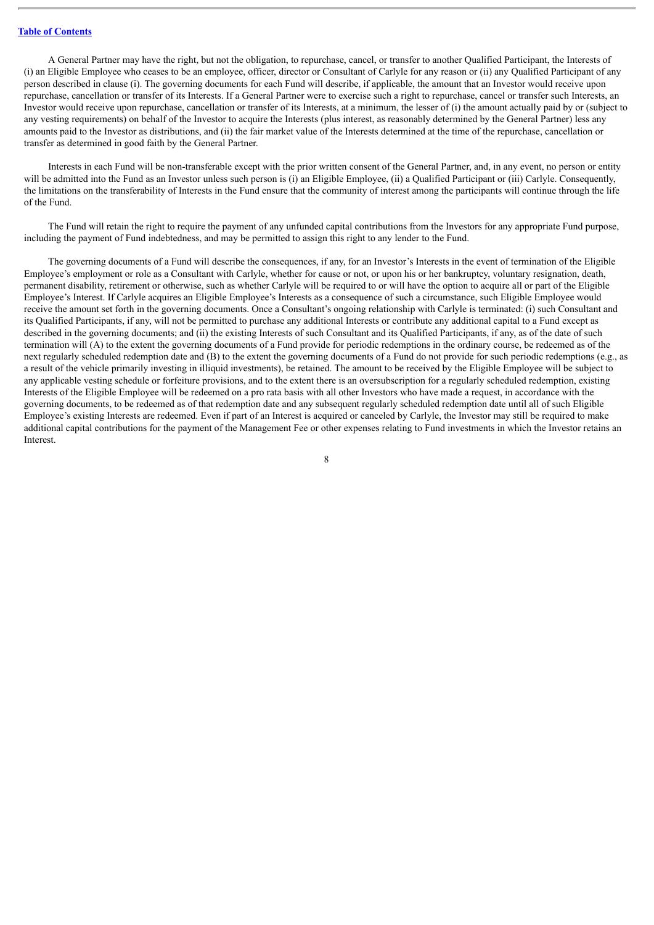A General Partner may have the right, but not the obligation, to repurchase, cancel, or transfer to another Qualified Participant, the Interests of (i) an Eligible Employee who ceases to be an employee, officer, director or Consultant of Carlyle for any reason or (ii) any Qualified Participant of any person described in clause (i). The governing documents for each Fund will describe, if applicable, the amount that an Investor would receive upon repurchase, cancellation or transfer of its Interests. If a General Partner were to exercise such a right to repurchase, cancel or transfer such Interests, an Investor would receive upon repurchase, cancellation or transfer of its Interests, at a minimum, the lesser of (i) the amount actually paid by or (subject to any vesting requirements) on behalf of the Investor to acquire the Interests (plus interest, as reasonably determined by the General Partner) less any amounts paid to the Investor as distributions, and (ii) the fair market value of the Interests determined at the time of the repurchase, cancellation or transfer as determined in good faith by the General Partner.

Interests in each Fund will be non-transferable except with the prior written consent of the General Partner, and, in any event, no person or entity will be admitted into the Fund as an Investor unless such person is (i) an Eligible Employee, (ii) a Qualified Participant or (iii) Carlyle. Consequently, the limitations on the transferability of Interests in the Fund ensure that the community of interest among the participants will continue through the life of the Fund.

The Fund will retain the right to require the payment of any unfunded capital contributions from the Investors for any appropriate Fund purpose, including the payment of Fund indebtedness, and may be permitted to assign this right to any lender to the Fund.

The governing documents of a Fund will describe the consequences, if any, for an Investor's Interests in the event of termination of the Eligible Employee's employment or role as a Consultant with Carlyle, whether for cause or not, or upon his or her bankruptcy, voluntary resignation, death, permanent disability, retirement or otherwise, such as whether Carlyle will be required to or will have the option to acquire all or part of the Eligible Employee's Interest. If Carlyle acquires an Eligible Employee's Interests as a consequence of such a circumstance, such Eligible Employee would receive the amount set forth in the governing documents. Once a Consultant's ongoing relationship with Carlyle is terminated: (i) such Consultant and its Qualified Participants, if any, will not be permitted to purchase any additional Interests or contribute any additional capital to a Fund except as described in the governing documents; and (ii) the existing Interests of such Consultant and its Qualified Participants, if any, as of the date of such termination will (A) to the extent the governing documents of a Fund provide for periodic redemptions in the ordinary course, be redeemed as of the next regularly scheduled redemption date and (B) to the extent the governing documents of a Fund do not provide for such periodic redemptions (e.g., as a result of the vehicle primarily investing in illiquid investments), be retained. The amount to be received by the Eligible Employee will be subject to any applicable vesting schedule or forfeiture provisions, and to the extent there is an oversubscription for a regularly scheduled redemption, existing Interests of the Eligible Employee will be redeemed on a pro rata basis with all other Investors who have made a request, in accordance with the governing documents, to be redeemed as of that redemption date and any subsequent regularly scheduled redemption date until all of such Eligible Employee's existing Interests are redeemed. Even if part of an Interest is acquired or canceled by Carlyle, the Investor may still be required to make additional capital contributions for the payment of the Management Fee or other expenses relating to Fund investments in which the Investor retains an Interest.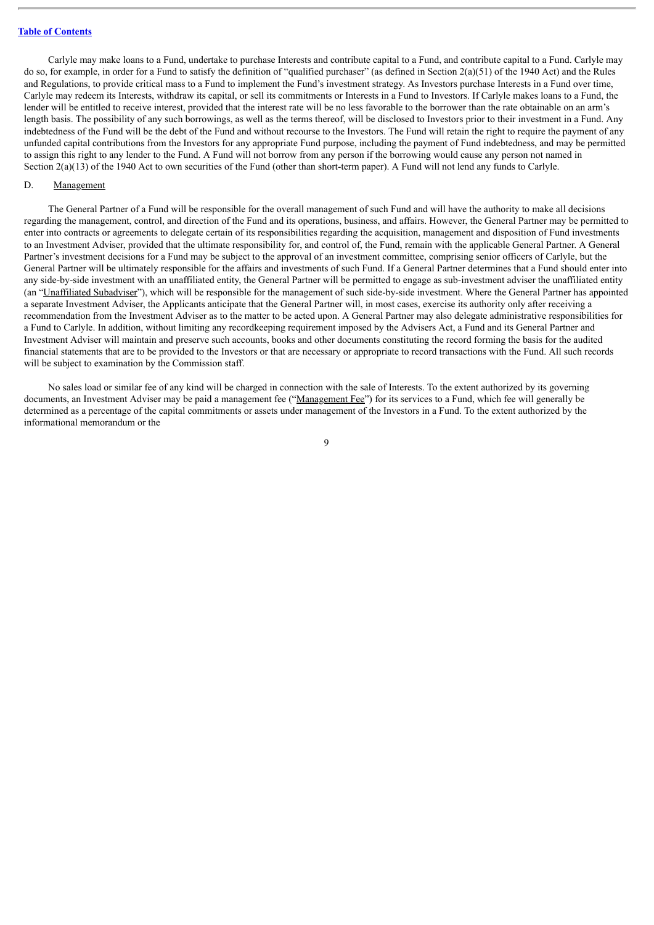Carlyle may make loans to a Fund, undertake to purchase Interests and contribute capital to a Fund, and contribute capital to a Fund. Carlyle may do so, for example, in order for a Fund to satisfy the definition of "qualified purchaser" (as defined in Section 2(a)(51) of the 1940 Act) and the Rules and Regulations, to provide critical mass to a Fund to implement the Fund's investment strategy. As Investors purchase Interests in a Fund over time, Carlyle may redeem its Interests, withdraw its capital, or sell its commitments or Interests in a Fund to Investors. If Carlyle makes loans to a Fund, the lender will be entitled to receive interest, provided that the interest rate will be no less favorable to the borrower than the rate obtainable on an arm's length basis. The possibility of any such borrowings, as well as the terms thereof, will be disclosed to Investors prior to their investment in a Fund. Any indebtedness of the Fund will be the debt of the Fund and without recourse to the Investors. The Fund will retain the right to require the payment of any unfunded capital contributions from the Investors for any appropriate Fund purpose, including the payment of Fund indebtedness, and may be permitted to assign this right to any lender to the Fund. A Fund will not borrow from any person if the borrowing would cause any person not named in Section 2(a)(13) of the 1940 Act to own securities of the Fund (other than short-term paper). A Fund will not lend any funds to Carlyle.

## <span id="page-10-0"></span>D. Management

The General Partner of a Fund will be responsible for the overall management of such Fund and will have the authority to make all decisions regarding the management, control, and direction of the Fund and its operations, business, and affairs. However, the General Partner may be permitted to enter into contracts or agreements to delegate certain of its responsibilities regarding the acquisition, management and disposition of Fund investments to an Investment Adviser, provided that the ultimate responsibility for, and control of, the Fund, remain with the applicable General Partner. A General Partner's investment decisions for a Fund may be subject to the approval of an investment committee, comprising senior officers of Carlyle, but the General Partner will be ultimately responsible for the affairs and investments of such Fund. If a General Partner determines that a Fund should enter into any side-by-side investment with an unaffiliated entity, the General Partner will be permitted to engage as sub-investment adviser the unaffiliated entity (an "Unaffiliated Subadviser"), which will be responsible for the management of such side-by-side investment. Where the General Partner has appointed a separate Investment Adviser, the Applicants anticipate that the General Partner will, in most cases, exercise its authority only after receiving a recommendation from the Investment Adviser as to the matter to be acted upon. A General Partner may also delegate administrative responsibilities for a Fund to Carlyle. In addition, without limiting any recordkeeping requirement imposed by the Advisers Act, a Fund and its General Partner and Investment Adviser will maintain and preserve such accounts, books and other documents constituting the record forming the basis for the audited financial statements that are to be provided to the Investors or that are necessary or appropriate to record transactions with the Fund. All such records will be subject to examination by the Commission staff.

No sales load or similar fee of any kind will be charged in connection with the sale of Interests. To the extent authorized by its governing documents, an Investment Adviser may be paid a management fee ("Management Fee") for its services to a Fund, which fee will generally be determined as a percentage of the capital commitments or assets under management of the Investors in a Fund. To the extent authorized by the informational memorandum or the

 $\overline{Q}$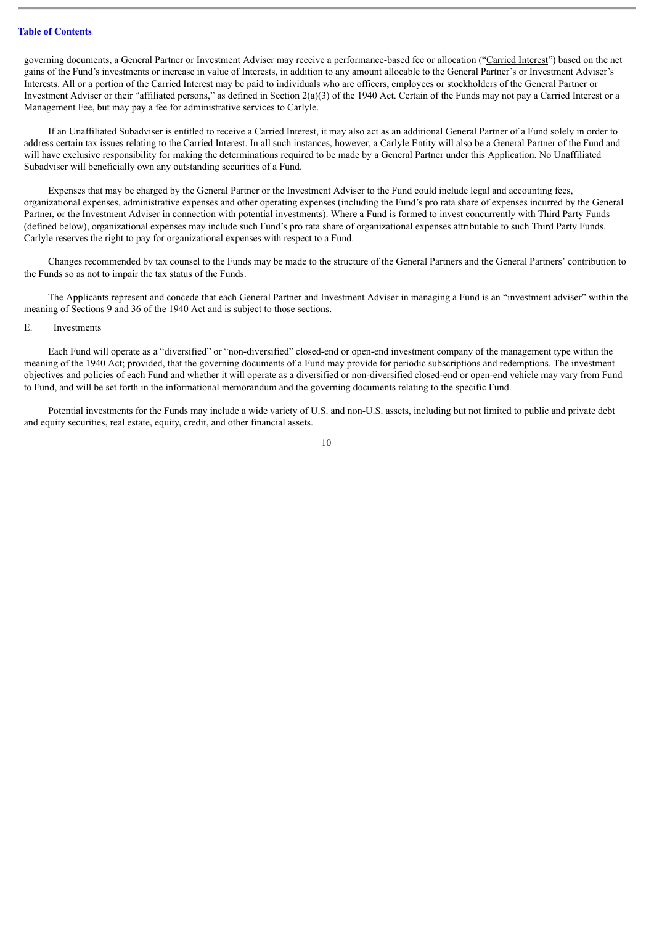governing documents, a General Partner or Investment Adviser may receive a performance-based fee or allocation ("Carried Interest") based on the net gains of the Fund's investments or increase in value of Interests, in addition to any amount allocable to the General Partner's or Investment Adviser's Interests. All or a portion of the Carried Interest may be paid to individuals who are officers, employees or stockholders of the General Partner or Investment Adviser or their "affiliated persons," as defined in Section 2(a)(3) of the 1940 Act. Certain of the Funds may not pay a Carried Interest or a Management Fee, but may pay a fee for administrative services to Carlyle.

If an Unaffiliated Subadviser is entitled to receive a Carried Interest, it may also act as an additional General Partner of a Fund solely in order to address certain tax issues relating to the Carried Interest. In all such instances, however, a Carlyle Entity will also be a General Partner of the Fund and will have exclusive responsibility for making the determinations required to be made by a General Partner under this Application. No Unaffiliated Subadviser will beneficially own any outstanding securities of a Fund.

Expenses that may be charged by the General Partner or the Investment Adviser to the Fund could include legal and accounting fees, organizational expenses, administrative expenses and other operating expenses (including the Fund's pro rata share of expenses incurred by the General Partner, or the Investment Adviser in connection with potential investments). Where a Fund is formed to invest concurrently with Third Party Funds (defined below), organizational expenses may include such Fund's pro rata share of organizational expenses attributable to such Third Party Funds. Carlyle reserves the right to pay for organizational expenses with respect to a Fund.

Changes recommended by tax counsel to the Funds may be made to the structure of the General Partners and the General Partners' contribution to the Funds so as not to impair the tax status of the Funds.

The Applicants represent and concede that each General Partner and Investment Adviser in managing a Fund is an "investment adviser" within the meaning of Sections 9 and 36 of the 1940 Act and is subject to those sections.

#### <span id="page-11-0"></span>E. Investments

Each Fund will operate as a "diversified" or "non-diversified" closed-end or open-end investment company of the management type within the meaning of the 1940 Act; provided, that the governing documents of a Fund may provide for periodic subscriptions and redemptions. The investment objectives and policies of each Fund and whether it will operate as a diversified or non-diversified closed-end or open-end vehicle may vary from Fund to Fund, and will be set forth in the informational memorandum and the governing documents relating to the specific Fund.

Potential investments for the Funds may include a wide variety of U.S. and non-U.S. assets, including but not limited to public and private debt and equity securities, real estate, equity, credit, and other financial assets.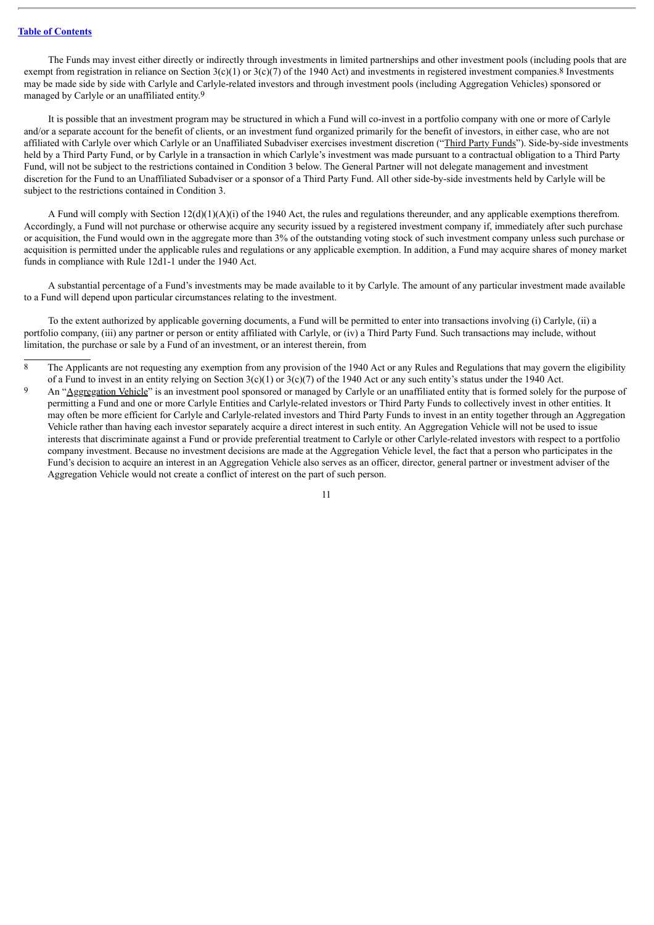The Funds may invest either directly or indirectly through investments in limited partnerships and other investment pools (including pools that are exempt from registration in reliance on Section  $3(c)(1)$  or  $3(c)(7)$  of the 1940 Act) and investments in registered investment companies.<sup>8</sup> Investments may be made side by side with Carlyle and Carlyle-related investors and through investment pools (including Aggregation Vehicles) sponsored or managed by Carlyle or an unaffiliated entity.9

It is possible that an investment program may be structured in which a Fund will co-invest in a portfolio company with one or more of Carlyle and/or a separate account for the benefit of clients, or an investment fund organized primarily for the benefit of investors, in either case, who are not affiliated with Carlyle over which Carlyle or an Unaffiliated Subadviser exercises investment discretion ("Third Party Funds"). Side-by-side investments held by a Third Party Fund, or by Carlyle in a transaction in which Carlyle's investment was made pursuant to a contractual obligation to a Third Party Fund, will not be subject to the restrictions contained in Condition 3 below. The General Partner will not delegate management and investment discretion for the Fund to an Unaffiliated Subadviser or a sponsor of a Third Party Fund. All other side-by-side investments held by Carlyle will be subject to the restrictions contained in Condition 3.

A Fund will comply with Section 12(d)(1)(A)(i) of the 1940 Act, the rules and regulations thereunder, and any applicable exemptions therefrom. Accordingly, a Fund will not purchase or otherwise acquire any security issued by a registered investment company if, immediately after such purchase or acquisition, the Fund would own in the aggregate more than 3% of the outstanding voting stock of such investment company unless such purchase or acquisition is permitted under the applicable rules and regulations or any applicable exemption. In addition, a Fund may acquire shares of money market funds in compliance with Rule 12d1-1 under the 1940 Act.

A substantial percentage of a Fund's investments may be made available to it by Carlyle. The amount of any particular investment made available to a Fund will depend upon particular circumstances relating to the investment.

To the extent authorized by applicable governing documents, a Fund will be permitted to enter into transactions involving (i) Carlyle, (ii) a portfolio company, (iii) any partner or person or entity affiliated with Carlyle, or (iv) a Third Party Fund. Such transactions may include, without limitation, the purchase or sale by a Fund of an investment, or an interest therein, from

- <sup>8</sup> The Applicants are not requesting any exemption from any provision of the 1940 Act or any Rules and Regulations that may govern the eligibility of a Fund to invest in an entity relying on Section  $3(c)(1)$  or  $3(c)(7)$  of the 1940 Act or any such entity's status under the 1940 Act.
- 9 An "Aggregation Vehicle" is an investment pool sponsored or managed by Carlyle or an unaffiliated entity that is formed solely for the purpose of permitting a Fund and one or more Carlyle Entities and Carlyle-related investors or Third Party Funds to collectively invest in other entities. It may often be more efficient for Carlyle and Carlyle-related investors and Third Party Funds to invest in an entity together through an Aggregation Vehicle rather than having each investor separately acquire a direct interest in such entity. An Aggregation Vehicle will not be used to issue interests that discriminate against a Fund or provide preferential treatment to Carlyle or other Carlyle-related investors with respect to a portfolio company investment. Because no investment decisions are made at the Aggregation Vehicle level, the fact that a person who participates in the Fund's decision to acquire an interest in an Aggregation Vehicle also serves as an officer, director, general partner or investment adviser of the Aggregation Vehicle would not create a conflict of interest on the part of such person.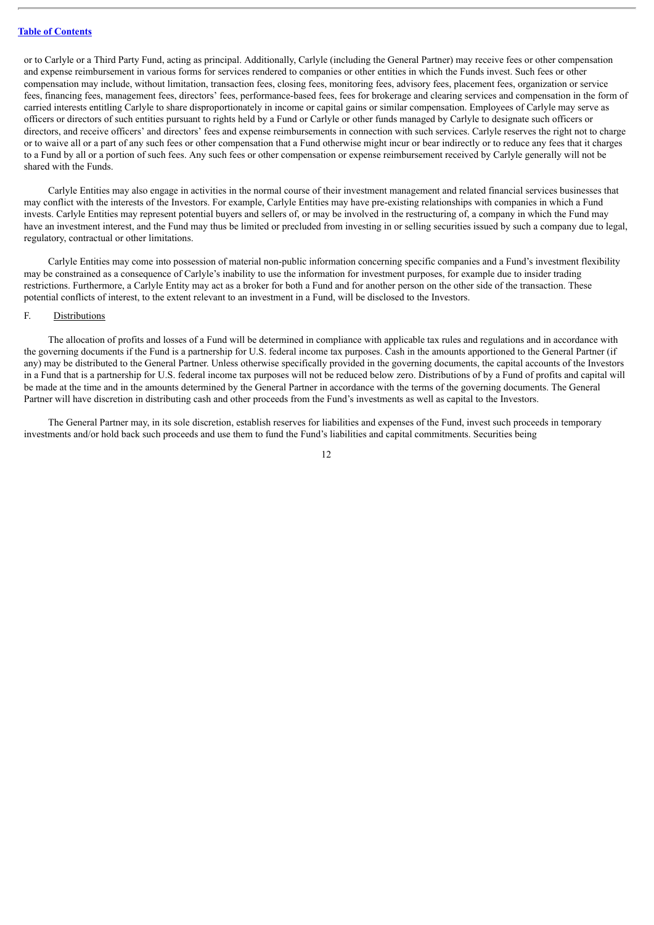or to Carlyle or a Third Party Fund, acting as principal. Additionally, Carlyle (including the General Partner) may receive fees or other compensation and expense reimbursement in various forms for services rendered to companies or other entities in which the Funds invest. Such fees or other compensation may include, without limitation, transaction fees, closing fees, monitoring fees, advisory fees, placement fees, organization or service fees, financing fees, management fees, directors' fees, performance-based fees, fees for brokerage and clearing services and compensation in the form of carried interests entitling Carlyle to share disproportionately in income or capital gains or similar compensation. Employees of Carlyle may serve as officers or directors of such entities pursuant to rights held by a Fund or Carlyle or other funds managed by Carlyle to designate such officers or directors, and receive officers' and directors' fees and expense reimbursements in connection with such services. Carlyle reserves the right not to charge or to waive all or a part of any such fees or other compensation that a Fund otherwise might incur or bear indirectly or to reduce any fees that it charges to a Fund by all or a portion of such fees. Any such fees or other compensation or expense reimbursement received by Carlyle generally will not be shared with the Funds.

Carlyle Entities may also engage in activities in the normal course of their investment management and related financial services businesses that may conflict with the interests of the Investors. For example, Carlyle Entities may have pre-existing relationships with companies in which a Fund invests. Carlyle Entities may represent potential buyers and sellers of, or may be involved in the restructuring of, a company in which the Fund may have an investment interest, and the Fund may thus be limited or precluded from investing in or selling securities issued by such a company due to legal, regulatory, contractual or other limitations.

Carlyle Entities may come into possession of material non-public information concerning specific companies and a Fund's investment flexibility may be constrained as a consequence of Carlyle's inability to use the information for investment purposes, for example due to insider trading restrictions. Furthermore, a Carlyle Entity may act as a broker for both a Fund and for another person on the other side of the transaction. These potential conflicts of interest, to the extent relevant to an investment in a Fund, will be disclosed to the Investors.

## <span id="page-13-0"></span>F. Distributions

The allocation of profits and losses of a Fund will be determined in compliance with applicable tax rules and regulations and in accordance with the governing documents if the Fund is a partnership for U.S. federal income tax purposes. Cash in the amounts apportioned to the General Partner (if any) may be distributed to the General Partner. Unless otherwise specifically provided in the governing documents, the capital accounts of the Investors in a Fund that is a partnership for U.S. federal income tax purposes will not be reduced below zero. Distributions of by a Fund of profits and capital will be made at the time and in the amounts determined by the General Partner in accordance with the terms of the governing documents. The General Partner will have discretion in distributing cash and other proceeds from the Fund's investments as well as capital to the Investors.

The General Partner may, in its sole discretion, establish reserves for liabilities and expenses of the Fund, invest such proceeds in temporary investments and/or hold back such proceeds and use them to fund the Fund's liabilities and capital commitments. Securities being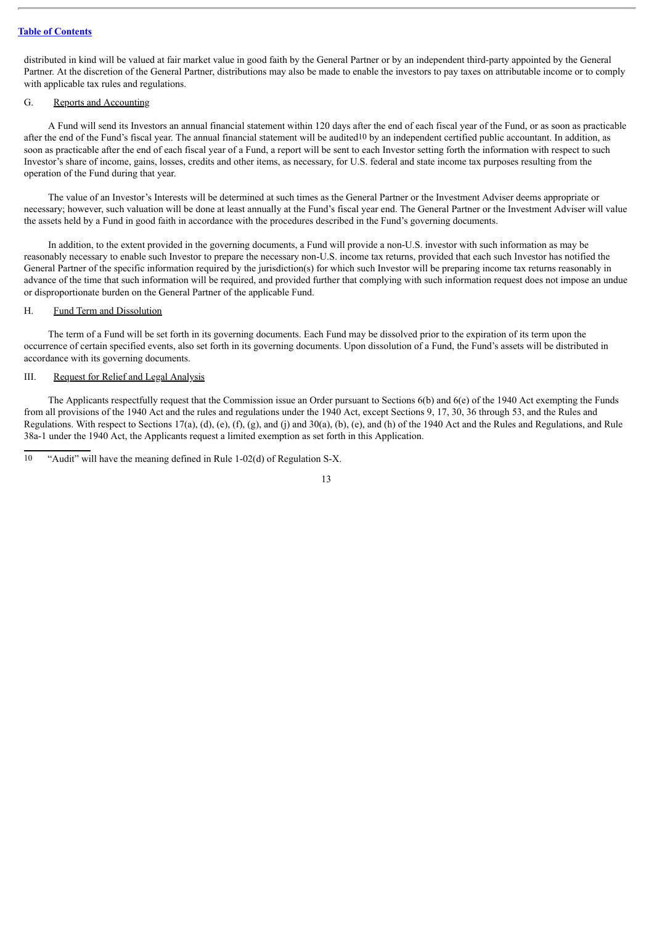distributed in kind will be valued at fair market value in good faith by the General Partner or by an independent third-party appointed by the General Partner. At the discretion of the General Partner, distributions may also be made to enable the investors to pay taxes on attributable income or to comply with applicable tax rules and regulations.

## <span id="page-14-0"></span>G. Reports and Accounting

A Fund will send its Investors an annual financial statement within 120 days after the end of each fiscal year of the Fund, or as soon as practicable after the end of the Fund's fiscal year. The annual financial statement will be audited<sup>10</sup> by an independent certified public accountant. In addition, as soon as practicable after the end of each fiscal year of a Fund, a report will be sent to each Investor setting forth the information with respect to such Investor's share of income, gains, losses, credits and other items, as necessary, for U.S. federal and state income tax purposes resulting from the operation of the Fund during that year.

The value of an Investor's Interests will be determined at such times as the General Partner or the Investment Adviser deems appropriate or necessary; however, such valuation will be done at least annually at the Fund's fiscal year end. The General Partner or the Investment Adviser will value the assets held by a Fund in good faith in accordance with the procedures described in the Fund's governing documents.

In addition, to the extent provided in the governing documents, a Fund will provide a non-U.S. investor with such information as may be reasonably necessary to enable such Investor to prepare the necessary non-U.S. income tax returns, provided that each such Investor has notified the General Partner of the specific information required by the jurisdiction(s) for which such Investor will be preparing income tax returns reasonably in advance of the time that such information will be required, and provided further that complying with such information request does not impose an undue or disproportionate burden on the General Partner of the applicable Fund.

## <span id="page-14-1"></span>H. Fund Term and Dissolution

The term of a Fund will be set forth in its governing documents. Each Fund may be dissolved prior to the expiration of its term upon the occurrence of certain specified events, also set forth in its governing documents. Upon dissolution of a Fund, the Fund's assets will be distributed in accordance with its governing documents.

## <span id="page-14-2"></span>III. Request for Relief and Legal Analysis

The Applicants respectfully request that the Commission issue an Order pursuant to Sections 6(b) and 6(e) of the 1940 Act exempting the Funds from all provisions of the 1940 Act and the rules and regulations under the 1940 Act, except Sections 9, 17, 30, 36 through 53, and the Rules and Regulations. With respect to Sections 17(a), (d), (e), (f), (g), and (j) and 30(a), (b), (e), and (h) of the 1940 Act and the Rules and Regulations, and Rule 38a-1 under the 1940 Act, the Applicants request a limited exemption as set forth in this Application.

 $10$  "Audit" will have the meaning defined in Rule 1-02(d) of Regulation S-X.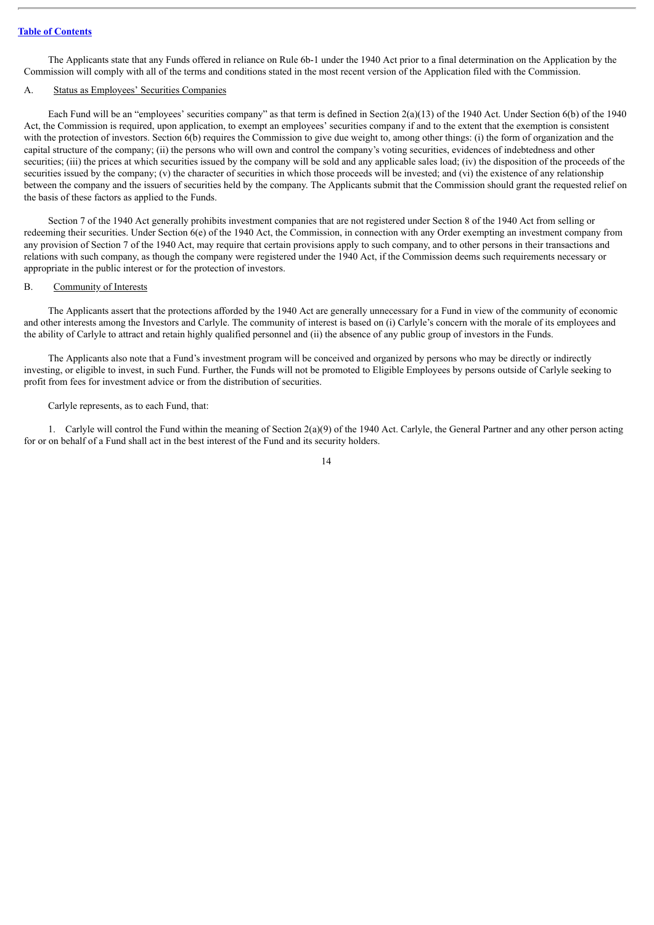The Applicants state that any Funds offered in reliance on Rule 6b-1 under the 1940 Act prior to a final determination on the Application by the Commission will comply with all of the terms and conditions stated in the most recent version of the Application filed with the Commission.

## <span id="page-15-0"></span>A. Status as Employees' Securities Companies

Each Fund will be an "employees' securities company" as that term is defined in Section  $2(a)(13)$  of the 1940 Act. Under Section 6(b) of the 1940 Act, the Commission is required, upon application, to exempt an employees' securities company if and to the extent that the exemption is consistent with the protection of investors. Section 6(b) requires the Commission to give due weight to, among other things: (i) the form of organization and the capital structure of the company; (ii) the persons who will own and control the company's voting securities, evidences of indebtedness and other securities; (iii) the prices at which securities issued by the company will be sold and any applicable sales load; (iv) the disposition of the proceeds of the securities issued by the company; (v) the character of securities in which those proceeds will be invested; and (vi) the existence of any relationship between the company and the issuers of securities held by the company. The Applicants submit that the Commission should grant the requested relief on the basis of these factors as applied to the Funds.

Section 7 of the 1940 Act generally prohibits investment companies that are not registered under Section 8 of the 1940 Act from selling or redeeming their securities. Under Section 6(e) of the 1940 Act, the Commission, in connection with any Order exempting an investment company from any provision of Section 7 of the 1940 Act, may require that certain provisions apply to such company, and to other persons in their transactions and relations with such company, as though the company were registered under the 1940 Act, if the Commission deems such requirements necessary or appropriate in the public interest or for the protection of investors.

## <span id="page-15-1"></span>B. Community of Interests

The Applicants assert that the protections afforded by the 1940 Act are generally unnecessary for a Fund in view of the community of economic and other interests among the Investors and Carlyle. The community of interest is based on (i) Carlyle's concern with the morale of its employees and the ability of Carlyle to attract and retain highly qualified personnel and (ii) the absence of any public group of investors in the Funds.

The Applicants also note that a Fund's investment program will be conceived and organized by persons who may be directly or indirectly investing, or eligible to invest, in such Fund. Further, the Funds will not be promoted to Eligible Employees by persons outside of Carlyle seeking to profit from fees for investment advice or from the distribution of securities.

Carlyle represents, as to each Fund, that:

1. Carlyle will control the Fund within the meaning of Section  $2(a)(9)$  of the 1940 Act. Carlyle, the General Partner and any other person acting for or on behalf of a Fund shall act in the best interest of the Fund and its security holders.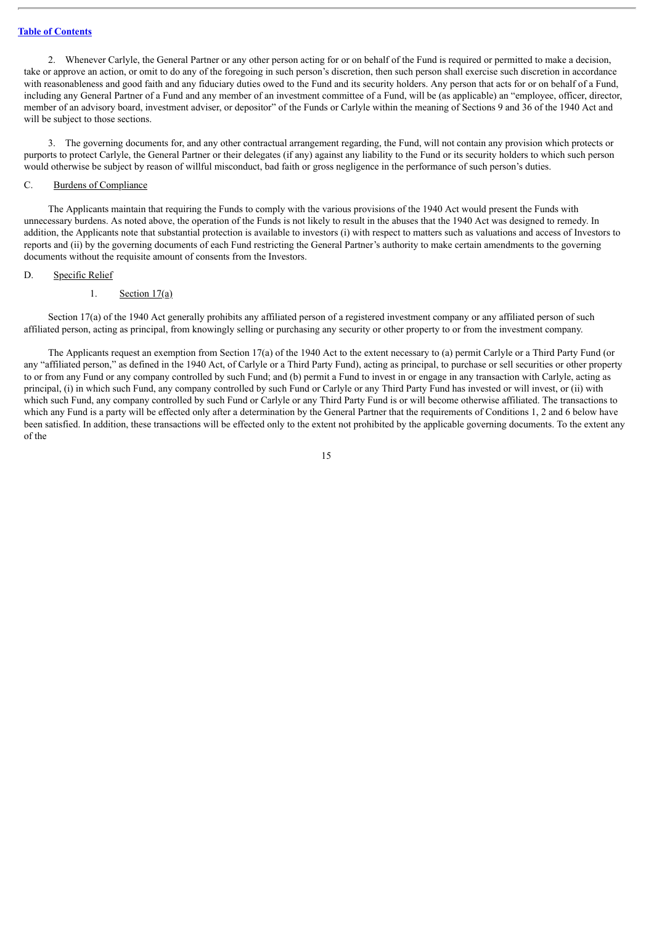2. Whenever Carlyle, the General Partner or any other person acting for or on behalf of the Fund is required or permitted to make a decision, take or approve an action, or omit to do any of the foregoing in such person's discretion, then such person shall exercise such discretion in accordance with reasonableness and good faith and any fiduciary duties owed to the Fund and its security holders. Any person that acts for or on behalf of a Fund, including any General Partner of a Fund and any member of an investment committee of a Fund, will be (as applicable) an "employee, officer, director, member of an advisory board, investment adviser, or depositor" of the Funds or Carlyle within the meaning of Sections 9 and 36 of the 1940 Act and will be subject to those sections.

3. The governing documents for, and any other contractual arrangement regarding, the Fund, will not contain any provision which protects or purports to protect Carlyle, the General Partner or their delegates (if any) against any liability to the Fund or its security holders to which such person would otherwise be subject by reason of willful misconduct, bad faith or gross negligence in the performance of such person's duties.

## <span id="page-16-0"></span>C. Burdens of Compliance

The Applicants maintain that requiring the Funds to comply with the various provisions of the 1940 Act would present the Funds with unnecessary burdens. As noted above, the operation of the Funds is not likely to result in the abuses that the 1940 Act was designed to remedy. In addition, the Applicants note that substantial protection is available to investors (i) with respect to matters such as valuations and access of Investors to reports and (ii) by the governing documents of each Fund restricting the General Partner's authority to make certain amendments to the governing documents without the requisite amount of consents from the Investors.

#### <span id="page-16-1"></span>D. Specific Relief

#### <span id="page-16-2"></span>1. Section  $17(a)$

Section 17(a) of the 1940 Act generally prohibits any affiliated person of a registered investment company or any affiliated person of such affiliated person, acting as principal, from knowingly selling or purchasing any security or other property to or from the investment company.

The Applicants request an exemption from Section 17(a) of the 1940 Act to the extent necessary to (a) permit Carlyle or a Third Party Fund (or any "affiliated person," as defined in the 1940 Act, of Carlyle or a Third Party Fund), acting as principal, to purchase or sell securities or other property to or from any Fund or any company controlled by such Fund; and (b) permit a Fund to invest in or engage in any transaction with Carlyle, acting as principal, (i) in which such Fund, any company controlled by such Fund or Carlyle or any Third Party Fund has invested or will invest, or (ii) with which such Fund, any company controlled by such Fund or Carlyle or any Third Party Fund is or will become otherwise affiliated. The transactions to which any Fund is a party will be effected only after a determination by the General Partner that the requirements of Conditions 1, 2 and 6 below have been satisfied. In addition, these transactions will be effected only to the extent not prohibited by the applicable governing documents. To the extent any of the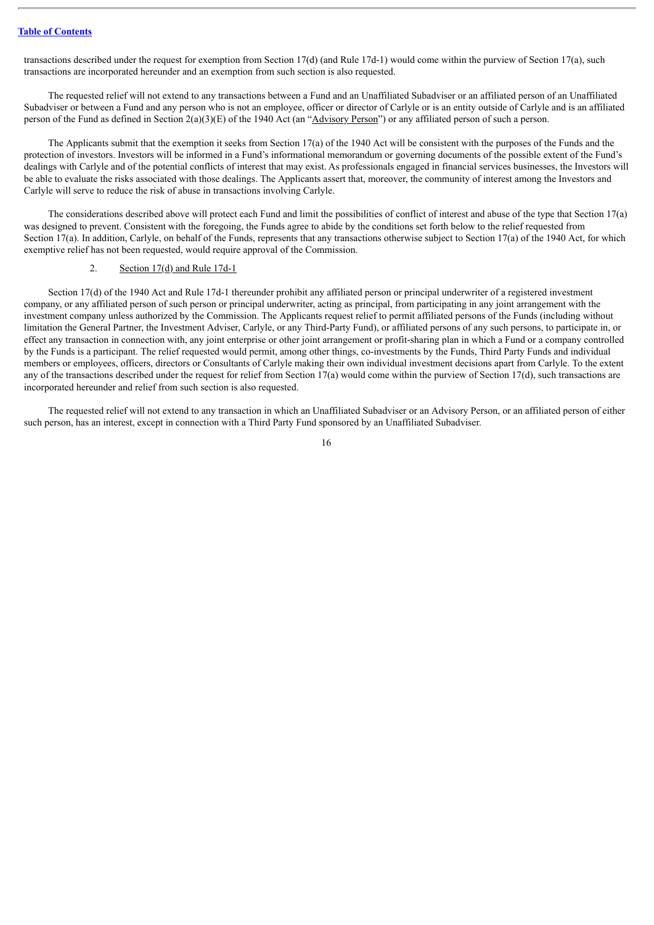transactions described under the request for exemption from Section 17(d) (and Rule 17d-1) would come within the purview of Section 17(a), such transactions are incorporated hereunder and an exemption from such section is also requested.

The requested relief will not extend to any transactions between a Fund and an Unaffiliated Subadviser or an affiliated person of an Unaffiliated Subadviser or between a Fund and any person who is not an employee, officer or director of Carlyle or is an entity outside of Carlyle and is an affiliated person of the Fund as defined in Section 2(a)(3)(E) of the 1940 Act (an "Advisory Person") or any affiliated person of such a person.

The Applicants submit that the exemption it seeks from Section 17(a) of the 1940 Act will be consistent with the purposes of the Funds and the protection of investors. Investors will be informed in a Fund's informational memorandum or governing documents of the possible extent of the Fund's dealings with Carlyle and of the potential conflicts of interest that may exist. As professionals engaged in financial services businesses, the Investors will be able to evaluate the risks associated with those dealings. The Applicants assert that, moreover, the community of interest among the Investors and Carlyle will serve to reduce the risk of abuse in transactions involving Carlyle.

The considerations described above will protect each Fund and limit the possibilities of conflict of interest and abuse of the type that Section 17(a) was designed to prevent. Consistent with the foregoing, the Funds agree to abide by the conditions set forth below to the relief requested from Section 17(a). In addition, Carlyle, on behalf of the Funds, represents that any transactions otherwise subject to Section 17(a) of the 1940 Act, for which exemptive relief has not been requested, would require approval of the Commission.

## <span id="page-17-0"></span>2. Section 17(d) and Rule 17d-1

Section 17(d) of the 1940 Act and Rule 17d-1 thereunder prohibit any affiliated person or principal underwriter of a registered investment company, or any affiliated person of such person or principal underwriter, acting as principal, from participating in any joint arrangement with the investment company unless authorized by the Commission. The Applicants request relief to permit affiliated persons of the Funds (including without limitation the General Partner, the Investment Adviser, Carlyle, or any Third-Party Fund), or affiliated persons of any such persons, to participate in, or effect any transaction in connection with, any joint enterprise or other joint arrangement or profit-sharing plan in which a Fund or a company controlled by the Funds is a participant. The relief requested would permit, among other things, co-investments by the Funds, Third Party Funds and individual members or employees, officers, directors or Consultants of Carlyle making their own individual investment decisions apart from Carlyle. To the extent any of the transactions described under the request for relief from Section 17(a) would come within the purview of Section 17(d), such transactions are incorporated hereunder and relief from such section is also requested.

The requested relief will not extend to any transaction in which an Unaffiliated Subadviser or an Advisory Person, or an affiliated person of either such person, has an interest, except in connection with a Third Party Fund sponsored by an Unaffiliated Subadviser.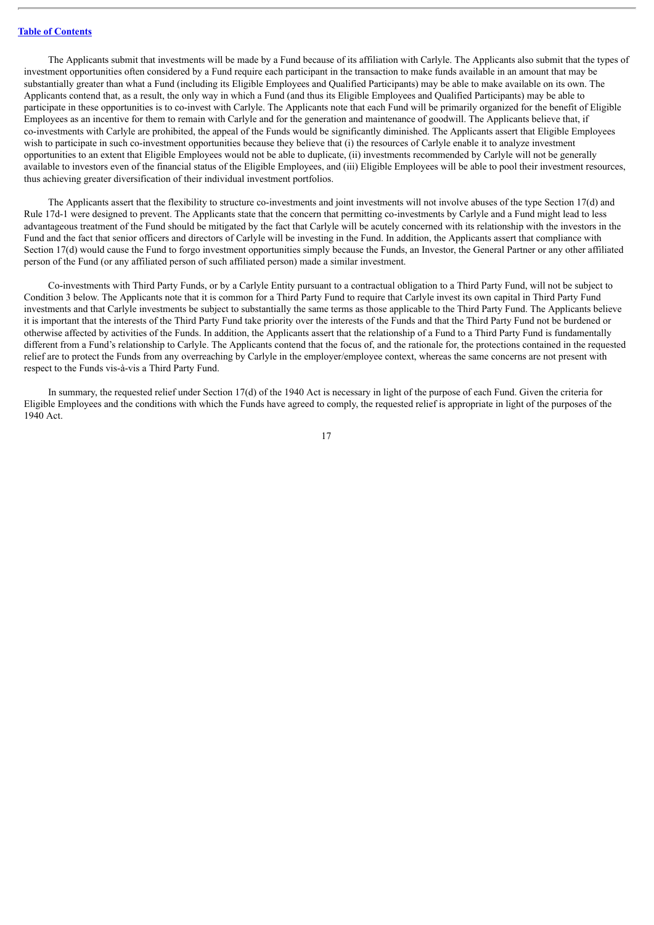The Applicants submit that investments will be made by a Fund because of its affiliation with Carlyle. The Applicants also submit that the types of investment opportunities often considered by a Fund require each participant in the transaction to make funds available in an amount that may be substantially greater than what a Fund (including its Eligible Employees and Qualified Participants) may be able to make available on its own. The Applicants contend that, as a result, the only way in which a Fund (and thus its Eligible Employees and Qualified Participants) may be able to participate in these opportunities is to co-invest with Carlyle. The Applicants note that each Fund will be primarily organized for the benefit of Eligible Employees as an incentive for them to remain with Carlyle and for the generation and maintenance of goodwill. The Applicants believe that, if co-investments with Carlyle are prohibited, the appeal of the Funds would be significantly diminished. The Applicants assert that Eligible Employees wish to participate in such co-investment opportunities because they believe that (i) the resources of Carlyle enable it to analyze investment opportunities to an extent that Eligible Employees would not be able to duplicate, (ii) investments recommended by Carlyle will not be generally available to investors even of the financial status of the Eligible Employees, and (iii) Eligible Employees will be able to pool their investment resources, thus achieving greater diversification of their individual investment portfolios.

The Applicants assert that the flexibility to structure co-investments and joint investments will not involve abuses of the type Section 17(d) and Rule 17d-1 were designed to prevent. The Applicants state that the concern that permitting co-investments by Carlyle and a Fund might lead to less advantageous treatment of the Fund should be mitigated by the fact that Carlyle will be acutely concerned with its relationship with the investors in the Fund and the fact that senior officers and directors of Carlyle will be investing in the Fund. In addition, the Applicants assert that compliance with Section 17(d) would cause the Fund to forgo investment opportunities simply because the Funds, an Investor, the General Partner or any other affiliated person of the Fund (or any affiliated person of such affiliated person) made a similar investment.

Co-investments with Third Party Funds, or by a Carlyle Entity pursuant to a contractual obligation to a Third Party Fund, will not be subject to Condition 3 below. The Applicants note that it is common for a Third Party Fund to require that Carlyle invest its own capital in Third Party Fund investments and that Carlyle investments be subject to substantially the same terms as those applicable to the Third Party Fund. The Applicants believe it is important that the interests of the Third Party Fund take priority over the interests of the Funds and that the Third Party Fund not be burdened or otherwise affected by activities of the Funds. In addition, the Applicants assert that the relationship of a Fund to a Third Party Fund is fundamentally different from a Fund's relationship to Carlyle. The Applicants contend that the focus of, and the rationale for, the protections contained in the requested relief are to protect the Funds from any overreaching by Carlyle in the employer/employee context, whereas the same concerns are not present with respect to the Funds vis-à-vis a Third Party Fund.

In summary, the requested relief under Section 17(d) of the 1940 Act is necessary in light of the purpose of each Fund. Given the criteria for Eligible Employees and the conditions with which the Funds have agreed to comply, the requested relief is appropriate in light of the purposes of the 1940 Act.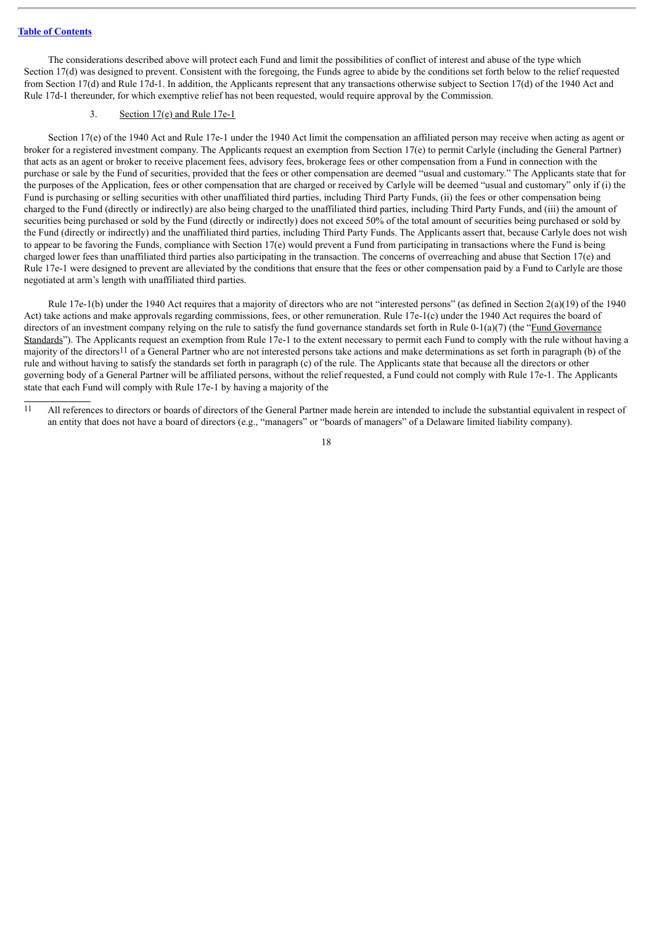The considerations described above will protect each Fund and limit the possibilities of conflict of interest and abuse of the type which Section 17(d) was designed to prevent. Consistent with the foregoing, the Funds agree to abide by the conditions set forth below to the relief requested from Section 17(d) and Rule 17d-1. In addition, the Applicants represent that any transactions otherwise subject to Section 17(d) of the 1940 Act and Rule 17d-1 thereunder, for which exemptive relief has not been requested, would require approval by the Commission.

## <span id="page-19-0"></span>3. Section  $17(e)$  and Rule 17e-1

Section 17(e) of the 1940 Act and Rule 17e-1 under the 1940 Act limit the compensation an affiliated person may receive when acting as agent or broker for a registered investment company. The Applicants request an exemption from Section 17(e) to permit Carlyle (including the General Partner) that acts as an agent or broker to receive placement fees, advisory fees, brokerage fees or other compensation from a Fund in connection with the purchase or sale by the Fund of securities, provided that the fees or other compensation are deemed "usual and customary." The Applicants state that for the purposes of the Application, fees or other compensation that are charged or received by Carlyle will be deemed "usual and customary" only if (i) the Fund is purchasing or selling securities with other unaffiliated third parties, including Third Party Funds, (ii) the fees or other compensation being charged to the Fund (directly or indirectly) are also being charged to the unaffiliated third parties, including Third Party Funds, and (iii) the amount of securities being purchased or sold by the Fund (directly or indirectly) does not exceed 50% of the total amount of securities being purchased or sold by the Fund (directly or indirectly) and the unaffiliated third parties, including Third Party Funds. The Applicants assert that, because Carlyle does not wish to appear to be favoring the Funds, compliance with Section 17(e) would prevent a Fund from participating in transactions where the Fund is being charged lower fees than unaffiliated third parties also participating in the transaction. The concerns of overreaching and abuse that Section 17(e) and Rule 17e-1 were designed to prevent are alleviated by the conditions that ensure that the fees or other compensation paid by a Fund to Carlyle are those negotiated at arm's length with unaffiliated third parties.

Rule 17e-1(b) under the 1940 Act requires that a majority of directors who are not "interested persons" (as defined in Section 2(a)(19) of the 1940 Act) take actions and make approvals regarding commissions, fees, or other remuneration. Rule 17e-1(c) under the 1940 Act requires the board of directors of an investment company relying on the rule to satisfy the fund governance standards set forth in Rule 0-1(a)(7) (the "Fund Governance" Standards"). The Applicants request an exemption from Rule 17e-1 to the extent necessary to permit each Fund to comply with the rule without having a majority of the directors11 of a General Partner who are not interested persons take actions and make determinations as set forth in paragraph (b) of the rule and without having to satisfy the standards set forth in paragraph (c) of the rule. The Applicants state that because all the directors or other governing body of a General Partner will be affiliated persons, without the relief requested, a Fund could not comply with Rule 17e-1. The Applicants state that each Fund will comply with Rule 17e-1 by having a majority of the

<sup>11</sup> All references to directors or boards of directors of the General Partner made herein are intended to include the substantial equivalent in respect of an entity that does not have a board of directors (e.g., "managers" or "boards of managers" of a Delaware limited liability company).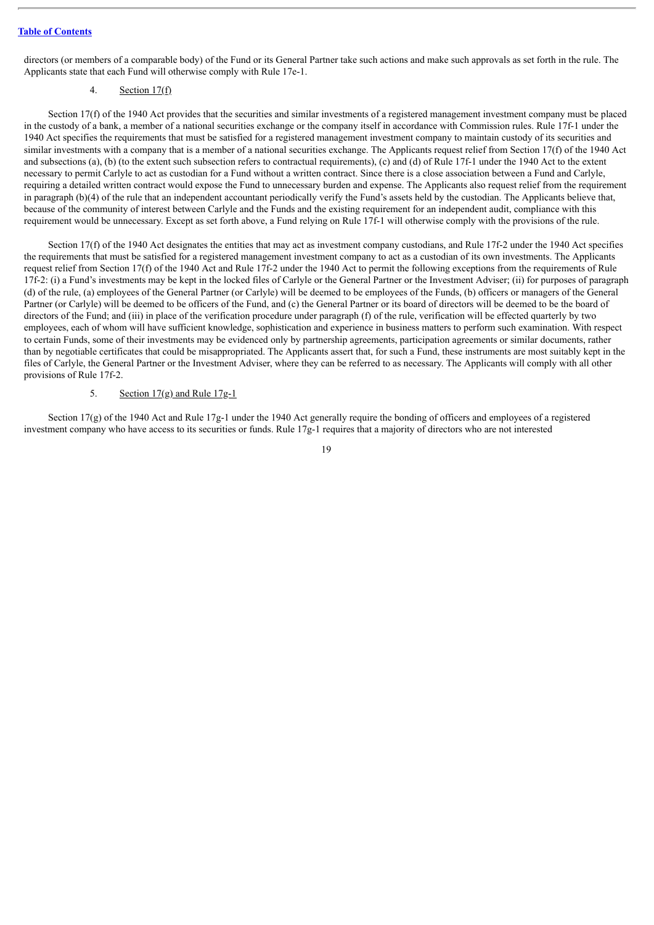directors (or members of a comparable body) of the Fund or its General Partner take such actions and make such approvals as set forth in the rule. The Applicants state that each Fund will otherwise comply with Rule 17e-1.

## <span id="page-20-0"></span>4. Section  $17(f)$

Section 17(f) of the 1940 Act provides that the securities and similar investments of a registered management investment company must be placed in the custody of a bank, a member of a national securities exchange or the company itself in accordance with Commission rules. Rule 17f-1 under the 1940 Act specifies the requirements that must be satisfied for a registered management investment company to maintain custody of its securities and similar investments with a company that is a member of a national securities exchange. The Applicants request relief from Section 17(f) of the 1940 Act and subsections (a), (b) (to the extent such subsection refers to contractual requirements), (c) and (d) of Rule 17f-1 under the 1940 Act to the extent necessary to permit Carlyle to act as custodian for a Fund without a written contract. Since there is a close association between a Fund and Carlyle, requiring a detailed written contract would expose the Fund to unnecessary burden and expense. The Applicants also request relief from the requirement in paragraph (b)(4) of the rule that an independent accountant periodically verify the Fund's assets held by the custodian. The Applicants believe that, because of the community of interest between Carlyle and the Funds and the existing requirement for an independent audit, compliance with this requirement would be unnecessary. Except as set forth above, a Fund relying on Rule 17f-1 will otherwise comply with the provisions of the rule.

Section 17(f) of the 1940 Act designates the entities that may act as investment company custodians, and Rule 17f-2 under the 1940 Act specifies the requirements that must be satisfied for a registered management investment company to act as a custodian of its own investments. The Applicants request relief from Section 17(f) of the 1940 Act and Rule 17f-2 under the 1940 Act to permit the following exceptions from the requirements of Rule 17f-2: (i) a Fund's investments may be kept in the locked files of Carlyle or the General Partner or the Investment Adviser; (ii) for purposes of paragraph (d) of the rule, (a) employees of the General Partner (or Carlyle) will be deemed to be employees of the Funds, (b) officers or managers of the General Partner (or Carlyle) will be deemed to be officers of the Fund, and (c) the General Partner or its board of directors will be deemed to be the board of directors of the Fund; and (iii) in place of the verification procedure under paragraph (f) of the rule, verification will be effected quarterly by two employees, each of whom will have sufficient knowledge, sophistication and experience in business matters to perform such examination. With respect to certain Funds, some of their investments may be evidenced only by partnership agreements, participation agreements or similar documents, rather than by negotiable certificates that could be misappropriated. The Applicants assert that, for such a Fund, these instruments are most suitably kept in the files of Carlyle, the General Partner or the Investment Adviser, where they can be referred to as necessary. The Applicants will comply with all other provisions of Rule 17f-2.

#### <span id="page-20-1"></span>5. Section  $17(g)$  and Rule  $17g-1$

Section 17(g) of the 1940 Act and Rule 17g-1 under the 1940 Act generally require the bonding of officers and employees of a registered investment company who have access to its securities or funds. Rule 17g-1 requires that a majority of directors who are not interested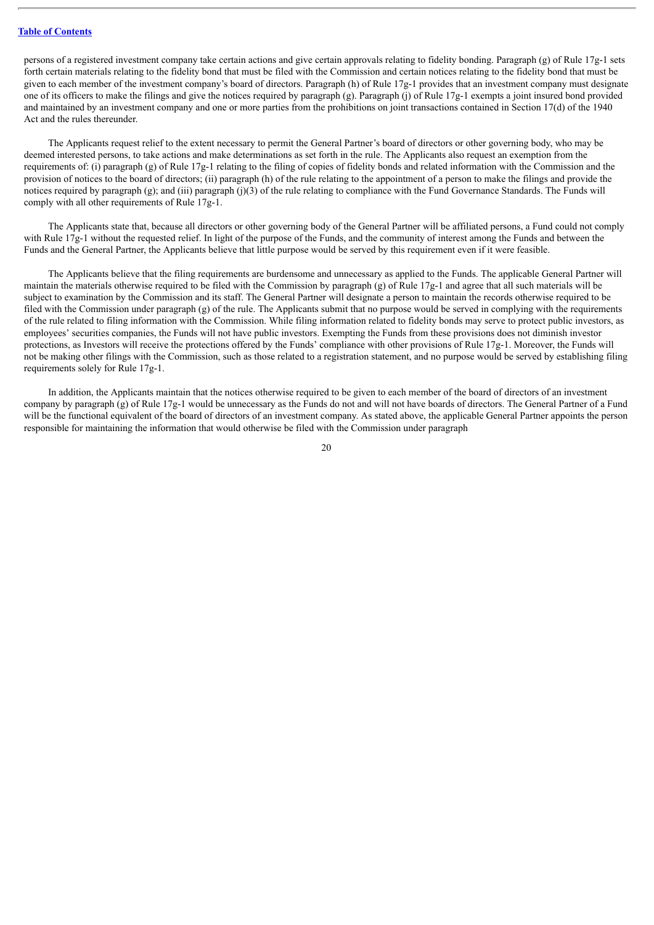persons of a registered investment company take certain actions and give certain approvals relating to fidelity bonding. Paragraph (g) of Rule 17g-1 sets forth certain materials relating to the fidelity bond that must be filed with the Commission and certain notices relating to the fidelity bond that must be given to each member of the investment company's board of directors. Paragraph (h) of Rule 17g-1 provides that an investment company must designate one of its officers to make the filings and give the notices required by paragraph (g). Paragraph (j) of Rule  $17g-1$  exempts a joint insured bond provided and maintained by an investment company and one or more parties from the prohibitions on joint transactions contained in Section 17(d) of the 1940 Act and the rules thereunder.

The Applicants request relief to the extent necessary to permit the General Partner's board of directors or other governing body, who may be deemed interested persons, to take actions and make determinations as set forth in the rule. The Applicants also request an exemption from the requirements of: (i) paragraph (g) of Rule 17g-1 relating to the filing of copies of fidelity bonds and related information with the Commission and the provision of notices to the board of directors; (ii) paragraph (h) of the rule relating to the appointment of a person to make the filings and provide the notices required by paragraph (g); and (iii) paragraph (j)(3) of the rule relating to compliance with the Fund Governance Standards. The Funds will comply with all other requirements of Rule 17g-1.

The Applicants state that, because all directors or other governing body of the General Partner will be affiliated persons, a Fund could not comply with Rule 17g-1 without the requested relief. In light of the purpose of the Funds, and the community of interest among the Funds and between the Funds and the General Partner, the Applicants believe that little purpose would be served by this requirement even if it were feasible.

The Applicants believe that the filing requirements are burdensome and unnecessary as applied to the Funds. The applicable General Partner will maintain the materials otherwise required to be filed with the Commission by paragraph (g) of Rule 17g-1 and agree that all such materials will be subject to examination by the Commission and its staff. The General Partner will designate a person to maintain the records otherwise required to be filed with the Commission under paragraph (g) of the rule. The Applicants submit that no purpose would be served in complying with the requirements of the rule related to filing information with the Commission. While filing information related to fidelity bonds may serve to protect public investors, as employees' securities companies, the Funds will not have public investors. Exempting the Funds from these provisions does not diminish investor protections, as Investors will receive the protections offered by the Funds' compliance with other provisions of Rule 17g-1. Moreover, the Funds will not be making other filings with the Commission, such as those related to a registration statement, and no purpose would be served by establishing filing requirements solely for Rule 17g-1.

In addition, the Applicants maintain that the notices otherwise required to be given to each member of the board of directors of an investment company by paragraph (g) of Rule 17g-1 would be unnecessary as the Funds do not and will not have boards of directors. The General Partner of a Fund will be the functional equivalent of the board of directors of an investment company. As stated above, the applicable General Partner appoints the person responsible for maintaining the information that would otherwise be filed with the Commission under paragraph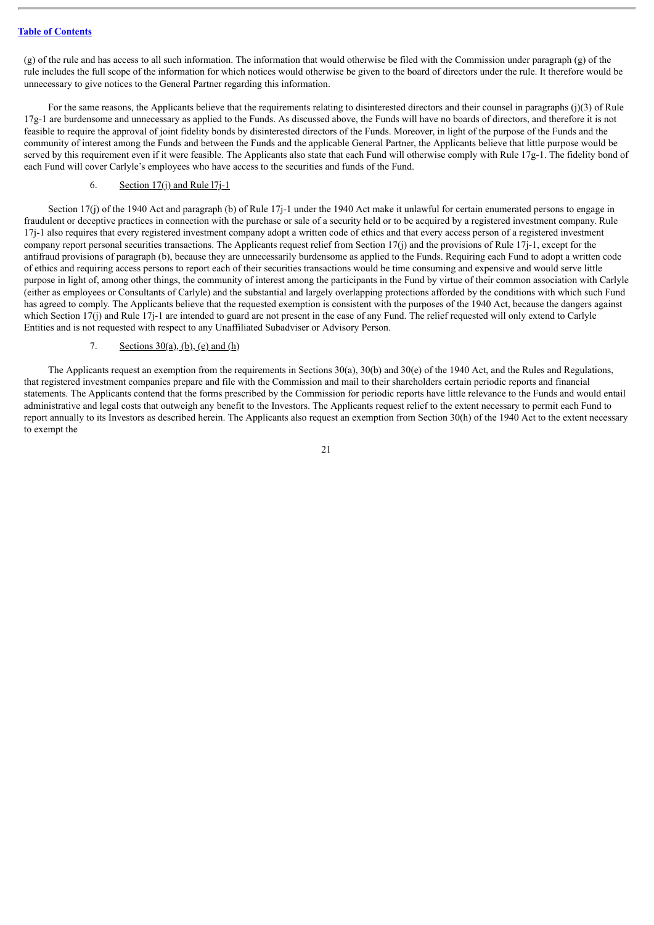$(g)$  of the rule and has access to all such information. The information that would otherwise be filed with the Commission under paragraph  $(g)$  of the rule includes the full scope of the information for which notices would otherwise be given to the board of directors under the rule. It therefore would be unnecessary to give notices to the General Partner regarding this information.

For the same reasons, the Applicants believe that the requirements relating to disinterested directors and their counsel in paragraphs (j)(3) of Rule 17g-1 are burdensome and unnecessary as applied to the Funds. As discussed above, the Funds will have no boards of directors, and therefore it is not feasible to require the approval of joint fidelity bonds by disinterested directors of the Funds. Moreover, in light of the purpose of the Funds and the community of interest among the Funds and between the Funds and the applicable General Partner, the Applicants believe that little purpose would be served by this requirement even if it were feasible. The Applicants also state that each Fund will otherwise comply with Rule 17g-1. The fidelity bond of each Fund will cover Carlyle's employees who have access to the securities and funds of the Fund.

## <span id="page-22-0"></span>6. Section  $17(i)$  and Rule  $17j-1$

Section 17(j) of the 1940 Act and paragraph (b) of Rule 17j-1 under the 1940 Act make it unlawful for certain enumerated persons to engage in fraudulent or deceptive practices in connection with the purchase or sale of a security held or to be acquired by a registered investment company. Rule 17j-1 also requires that every registered investment company adopt a written code of ethics and that every access person of a registered investment company report personal securities transactions. The Applicants request relief from Section 17(j) and the provisions of Rule 17j-1, except for the antifraud provisions of paragraph (b), because they are unnecessarily burdensome as applied to the Funds. Requiring each Fund to adopt a written code of ethics and requiring access persons to report each of their securities transactions would be time consuming and expensive and would serve little purpose in light of, among other things, the community of interest among the participants in the Fund by virtue of their common association with Carlyle (either as employees or Consultants of Carlyle) and the substantial and largely overlapping protections afforded by the conditions with which such Fund has agreed to comply. The Applicants believe that the requested exemption is consistent with the purposes of the 1940 Act, because the dangers against which Section 17(j) and Rule 17<sub>1</sub>-1 are intended to guard are not present in the case of any Fund. The relief requested will only extend to Carlyle Entities and is not requested with respect to any Unaffiliated Subadviser or Advisory Person.

## <span id="page-22-1"></span>7. Sections  $30(a)$ , (b), (e) and (h)

The Applicants request an exemption from the requirements in Sections 30(a), 30(b) and 30(e) of the 1940 Act, and the Rules and Regulations, that registered investment companies prepare and file with the Commission and mail to their shareholders certain periodic reports and financial statements. The Applicants contend that the forms prescribed by the Commission for periodic reports have little relevance to the Funds and would entail administrative and legal costs that outweigh any benefit to the Investors. The Applicants request relief to the extent necessary to permit each Fund to report annually to its Investors as described herein. The Applicants also request an exemption from Section 30(h) of the 1940 Act to the extent necessary to exempt the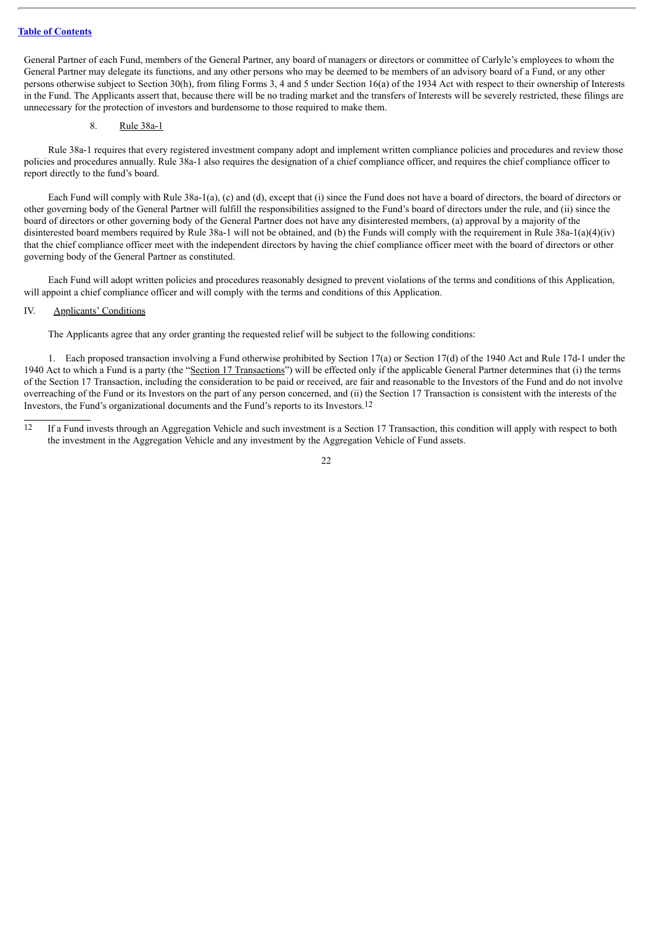General Partner of each Fund, members of the General Partner, any board of managers or directors or committee of Carlyle's employees to whom the General Partner may delegate its functions, and any other persons who may be deemed to be members of an advisory board of a Fund, or any other persons otherwise subject to Section 30(h), from filing Forms 3, 4 and 5 under Section 16(a) of the 1934 Act with respect to their ownership of Interests in the Fund. The Applicants assert that, because there will be no trading market and the transfers of Interests will be severely restricted, these filings are unnecessary for the protection of investors and burdensome to those required to make them.

## <span id="page-23-0"></span>8. Rule 38a-1

Rule 38a-1 requires that every registered investment company adopt and implement written compliance policies and procedures and review those policies and procedures annually. Rule 38a-1 also requires the designation of a chief compliance officer, and requires the chief compliance officer to report directly to the fund's board.

Each Fund will comply with Rule 38a-1(a), (c) and (d), except that (i) since the Fund does not have a board of directors, the board of directors or other governing body of the General Partner will fulfill the responsibilities assigned to the Fund's board of directors under the rule, and (ii) since the board of directors or other governing body of the General Partner does not have any disinterested members, (a) approval by a majority of the disinterested board members required by Rule 38a-1 will not be obtained, and (b) the Funds will comply with the requirement in Rule 38a-1(a)(4)(iv) that the chief compliance officer meet with the independent directors by having the chief compliance officer meet with the board of directors or other governing body of the General Partner as constituted.

Each Fund will adopt written policies and procedures reasonably designed to prevent violations of the terms and conditions of this Application, will appoint a chief compliance officer and will comply with the terms and conditions of this Application.

## <span id="page-23-1"></span>IV. Applicants' Conditions

The Applicants agree that any order granting the requested relief will be subject to the following conditions:

1. Each proposed transaction involving a Fund otherwise prohibited by Section 17(a) or Section 17(d) of the 1940 Act and Rule 17d-1 under the 1940 Act to which a Fund is a party (the "Section 17 Transactions") will be effected only if the applicable General Partner determines that (i) the terms of the Section 17 Transaction, including the consideration to be paid or received, are fair and reasonable to the Investors of the Fund and do not involve overreaching of the Fund or its Investors on the part of any person concerned, and (ii) the Section 17 Transaction is consistent with the interests of the Investors, the Fund's organizational documents and the Fund's reports to its Investors.12

12 If a Fund invests through an Aggregation Vehicle and such investment is a Section 17 Transaction, this condition will apply with respect to both the investment in the Aggregation Vehicle and any investment by the Aggregation Vehicle of Fund assets.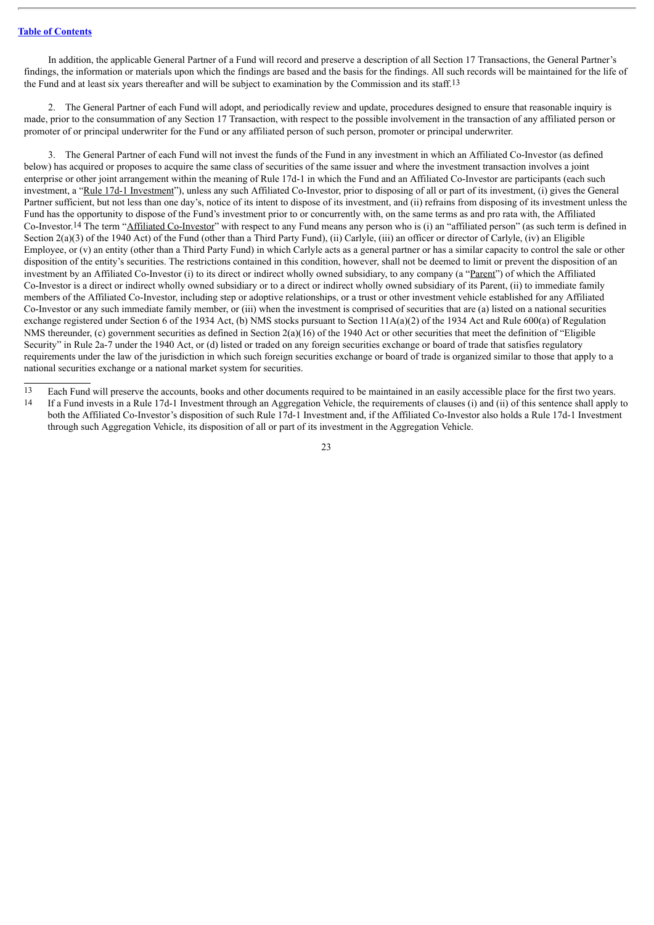In addition, the applicable General Partner of a Fund will record and preserve a description of all Section 17 Transactions, the General Partner's findings, the information or materials upon which the findings are based and the basis for the findings. All such records will be maintained for the life of the Fund and at least six years thereafter and will be subject to examination by the Commission and its staff.13

2. The General Partner of each Fund will adopt, and periodically review and update, procedures designed to ensure that reasonable inquiry is made, prior to the consummation of any Section 17 Transaction, with respect to the possible involvement in the transaction of any affiliated person or promoter of or principal underwriter for the Fund or any affiliated person of such person, promoter or principal underwriter.

3. The General Partner of each Fund will not invest the funds of the Fund in any investment in which an Affiliated Co-Investor (as defined below) has acquired or proposes to acquire the same class of securities of the same issuer and where the investment transaction involves a joint enterprise or other joint arrangement within the meaning of Rule 17d-1 in which the Fund and an Affiliated Co-Investor are participants (each such investment, a "Rule 17d-1 Investment"), unless any such Affiliated Co-Investor, prior to disposing of all or part of its investment, (i) gives the General Partner sufficient, but not less than one day's, notice of its intent to dispose of its investment, and (ii) refrains from disposing of its investment unless the Fund has the opportunity to dispose of the Fund's investment prior to or concurrently with, on the same terms as and pro rata with, the Affiliated Co-Investor.14 The term "Affiliated Co-Investor" with respect to any Fund means any person who is (i) an "affiliated person" (as such term is defined in Section 2(a)(3) of the 1940 Act) of the Fund (other than a Third Party Fund), (ii) Carlyle, (iii) an officer or director of Carlyle, (iv) an Eligible Employee, or (v) an entity (other than a Third Party Fund) in which Carlyle acts as a general partner or has a similar capacity to control the sale or other disposition of the entity's securities. The restrictions contained in this condition, however, shall not be deemed to limit or prevent the disposition of an investment by an Affiliated Co-Investor (i) to its direct or indirect wholly owned subsidiary, to any company (a "Parent") of which the Affiliated Co-Investor is a direct or indirect wholly owned subsidiary or to a direct or indirect wholly owned subsidiary of its Parent, (ii) to immediate family members of the Affiliated Co-Investor, including step or adoptive relationships, or a trust or other investment vehicle established for any Affiliated Co-Investor or any such immediate family member, or (iii) when the investment is comprised of securities that are (a) listed on a national securities exchange registered under Section 6 of the 1934 Act, (b) NMS stocks pursuant to Section 11A(a)(2) of the 1934 Act and Rule 600(a) of Regulation NMS thereunder, (c) government securities as defined in Section 2(a)(16) of the 1940 Act or other securities that meet the definition of "Eligible" Security" in Rule 2a-7 under the 1940 Act, or (d) listed or traded on any foreign securities exchange or board of trade that satisfies regulatory requirements under the law of the jurisdiction in which such foreign securities exchange or board of trade is organized similar to those that apply to a national securities exchange or a national market system for securities.

13 Each Fund will preserve the accounts, books and other documents required to be maintained in an easily accessible place for the first two years.

14 If a Fund invests in a Rule 17d-1 Investment through an Aggregation Vehicle, the requirements of clauses (i) and (ii) of this sentence shall apply to both the Affiliated Co-Investor's disposition of such Rule 17d-1 Investment and, if the Affiliated Co-Investor also holds a Rule 17d-1 Investment through such Aggregation Vehicle, its disposition of all or part of its investment in the Aggregation Vehicle.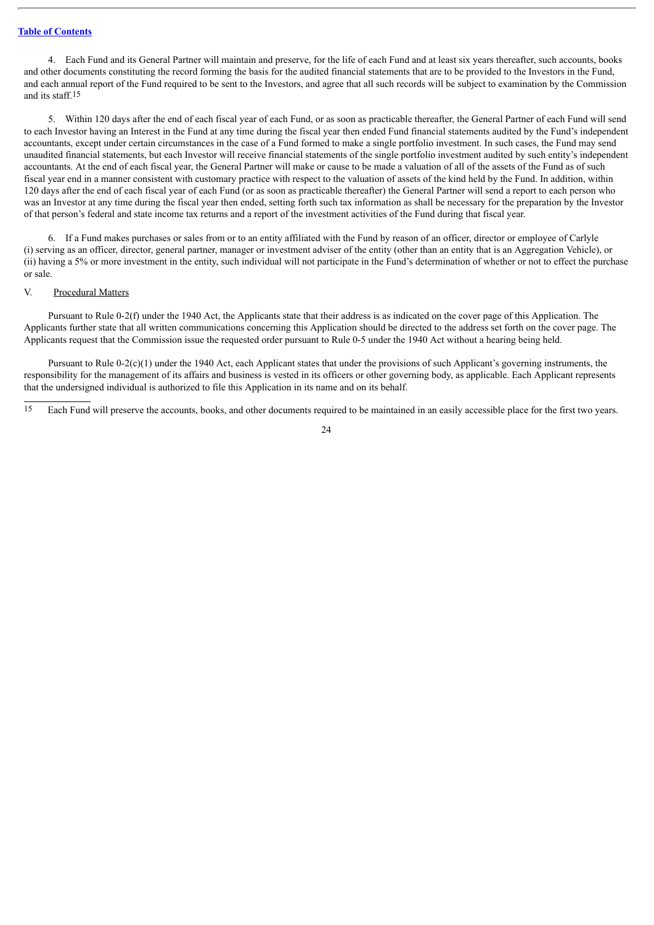4. Each Fund and its General Partner will maintain and preserve, for the life of each Fund and at least six years thereafter, such accounts, books and other documents constituting the record forming the basis for the audited financial statements that are to be provided to the Investors in the Fund, and each annual report of the Fund required to be sent to the Investors, and agree that all such records will be subject to examination by the Commission and its staff.15

5. Within 120 days after the end of each fiscal year of each Fund, or as soon as practicable thereafter, the General Partner of each Fund will send to each Investor having an Interest in the Fund at any time during the fiscal year then ended Fund financial statements audited by the Fund's independent accountants, except under certain circumstances in the case of a Fund formed to make a single portfolio investment. In such cases, the Fund may send unaudited financial statements, but each Investor will receive financial statements of the single portfolio investment audited by such entity's independent accountants. At the end of each fiscal year, the General Partner will make or cause to be made a valuation of all of the assets of the Fund as of such fiscal year end in a manner consistent with customary practice with respect to the valuation of assets of the kind held by the Fund. In addition, within 120 days after the end of each fiscal year of each Fund (or as soon as practicable thereafter) the General Partner will send a report to each person who was an Investor at any time during the fiscal year then ended, setting forth such tax information as shall be necessary for the preparation by the Investor of that person's federal and state income tax returns and a report of the investment activities of the Fund during that fiscal year.

6. If a Fund makes purchases or sales from or to an entity affiliated with the Fund by reason of an officer, director or employee of Carlyle (i) serving as an officer, director, general partner, manager or investment adviser of the entity (other than an entity that is an Aggregation Vehicle), or (ii) having a 5% or more investment in the entity, such individual will not participate in the Fund's determination of whether or not to effect the purchase or sale.

#### <span id="page-25-0"></span>V. Procedural Matters

Pursuant to Rule 0-2(f) under the 1940 Act, the Applicants state that their address is as indicated on the cover page of this Application. The Applicants further state that all written communications concerning this Application should be directed to the address set forth on the cover page. The Applicants request that the Commission issue the requested order pursuant to Rule 0-5 under the 1940 Act without a hearing being held.

Pursuant to Rule 0-2(c)(1) under the 1940 Act, each Applicant states that under the provisions of such Applicant's governing instruments, the responsibility for the management of its affairs and business is vested in its officers or other governing body, as applicable. Each Applicant represents that the undersigned individual is authorized to file this Application in its name and on its behalf.

15 Each Fund will preserve the accounts, books, and other documents required to be maintained in an easily accessible place for the first two years.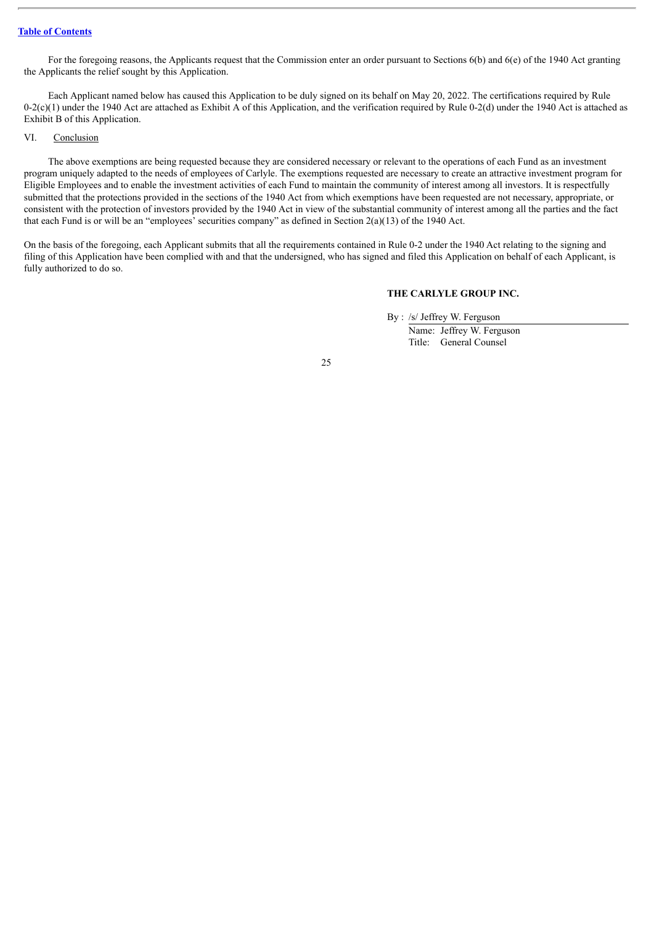For the foregoing reasons, the Applicants request that the Commission enter an order pursuant to Sections  $6(b)$  and  $6(e)$  of the 1940 Act granting the Applicants the relief sought by this Application.

Each Applicant named below has caused this Application to be duly signed on its behalf on May 20, 2022. The certifications required by Rule  $0-2(c)(1)$  under the 1940 Act are attached as Exhibit A of this Application, and the verification required by Rule 0-2(d) under the 1940 Act is attached as Exhibit B of this Application.

## <span id="page-26-0"></span>VI. Conclusion

The above exemptions are being requested because they are considered necessary or relevant to the operations of each Fund as an investment program uniquely adapted to the needs of employees of Carlyle. The exemptions requested are necessary to create an attractive investment program for Eligible Employees and to enable the investment activities of each Fund to maintain the community of interest among all investors. It is respectfully submitted that the protections provided in the sections of the 1940 Act from which exemptions have been requested are not necessary, appropriate, or consistent with the protection of investors provided by the 1940 Act in view of the substantial community of interest among all the parties and the fact that each Fund is or will be an "employees' securities company" as defined in Section  $2(a)(13)$  of the 1940 Act.

On the basis of the foregoing, each Applicant submits that all the requirements contained in Rule 0-2 under the 1940 Act relating to the signing and filing of this Application have been complied with and that the undersigned, who has signed and filed this Application on behalf of each Applicant, is fully authorized to do so.

#### **THE CARLYLE GROUP INC.**

By : /s/ Jeffrey W. Ferguson

Name: Jeffrey W. Ferguson Title: General Counsel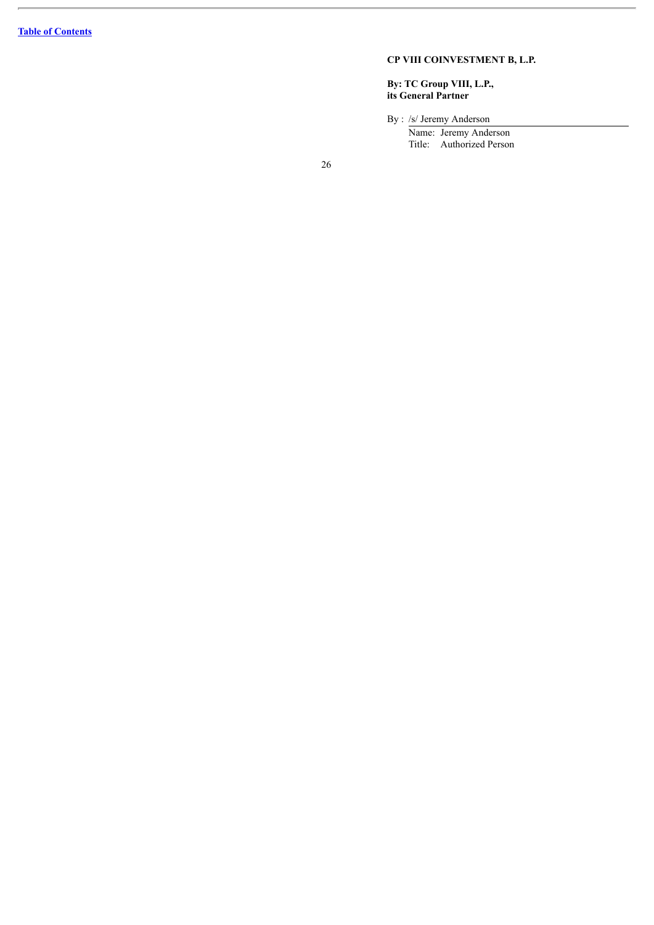#### **C P V I I I C O I N V E S T M E N T B , L .P.**

#### By: TC Group VIII, L.P., its General Partner

By : /s/ Jeremy Anderson

Name: Jeremy Anderson Title: Authorized Person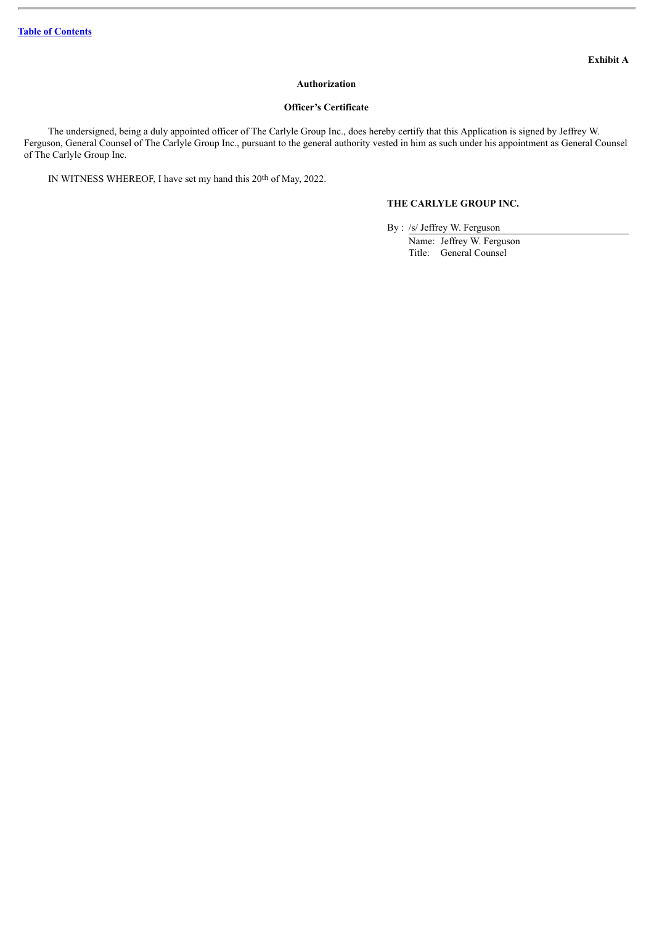## **Authorization**

## **Officer's Certificate**

The undersigned, being a duly appointed officer of The Carlyle Group Inc., does hereby certify that this Application is signed by Jeffrey W. Ferguson, General Counsel of The Carlyle Group Inc., pursuant to the general authority vested in him as such under his appointment as General Counsel of The Carlyle Group Inc.

IN WITNESS WHEREOF, I have set my hand this 20th of May, 2022.

## **THE CARLYLE GROUP INC.**

By : /s/ Jeffrey W. Ferguson

Name: Jeffrey W. Ferguson Title: General Counsel